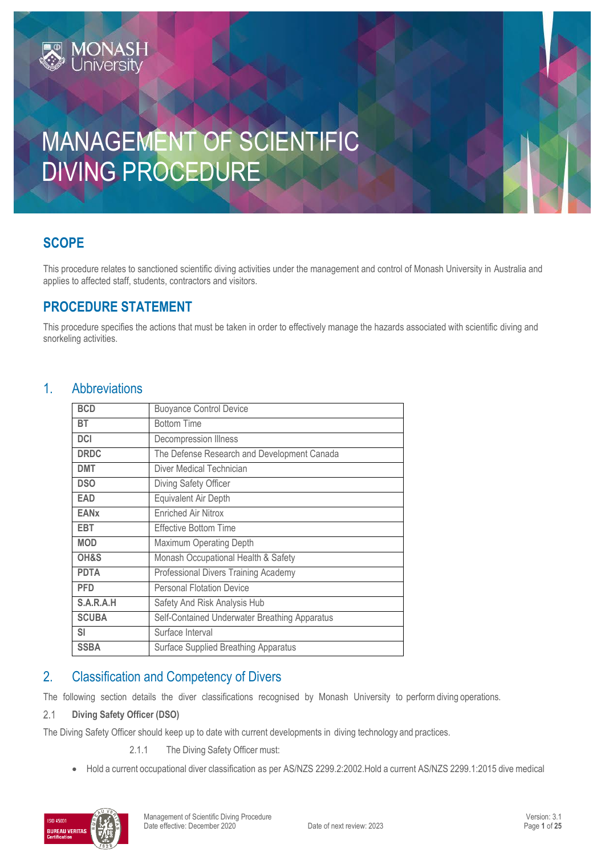# MANAGEMENT OF SCIENTIFIC DIVING PROCEDURE

# **SCOPE**

This procedure relates to sanctioned scientific diving activities under the management and control of Monash University in Australia and applies to affected staff, students, contractors and visitors.

# **PROCEDURE STATEMENT**

**MONASH**<br>Jniversity

This procedure specifies the actions that must be taken in order to effectively manage the hazards associated with scientific diving and snorkeling activities.

# 1. Abbreviations

| <b>BCD</b>   | <b>Buoyance Control Device</b>                |
|--------------|-----------------------------------------------|
| <b>BT</b>    | <b>Bottom Time</b>                            |
| <b>DCI</b>   | Decompression Illness                         |
| <b>DRDC</b>  | The Defense Research and Development Canada   |
| <b>DMT</b>   | Diver Medical Technician                      |
| <b>DSO</b>   | Diving Safety Officer                         |
| <b>EAD</b>   | Equivalent Air Depth                          |
| <b>EANx</b>  | <b>Enriched Air Nitrox</b>                    |
| EBT          | <b>Effective Bottom Time</b>                  |
| <b>MOD</b>   | Maximum Operating Depth                       |
| OH&S         | Monash Occupational Health & Safety           |
| <b>PDTA</b>  | Professional Divers Training Academy          |
| <b>PFD</b>   | <b>Personal Flotation Device</b>              |
| S.A.R.A.H    | Safety And Risk Analysis Hub                  |
| <b>SCUBA</b> | Self-Contained Underwater Breathing Apparatus |
| <b>SI</b>    | Surface Interval                              |
| <b>SSBA</b>  | Surface Supplied Breathing Apparatus          |

# 2. Classification and Competency of Divers

The following section details the diver classifications recognised by Monash University to perform diving operations.

#### $2.1$ **Diving Safety Officer (DSO)**

The Diving Safety Officer should keep up to date with current developments in diving technology and practices.

2.1.1 The Diving Safety Officer must:

• Hold a current occupational diver classification as per AS/NZS 2299.2:2002.Hold a current AS/NZS 2299.1:2015 dive medical

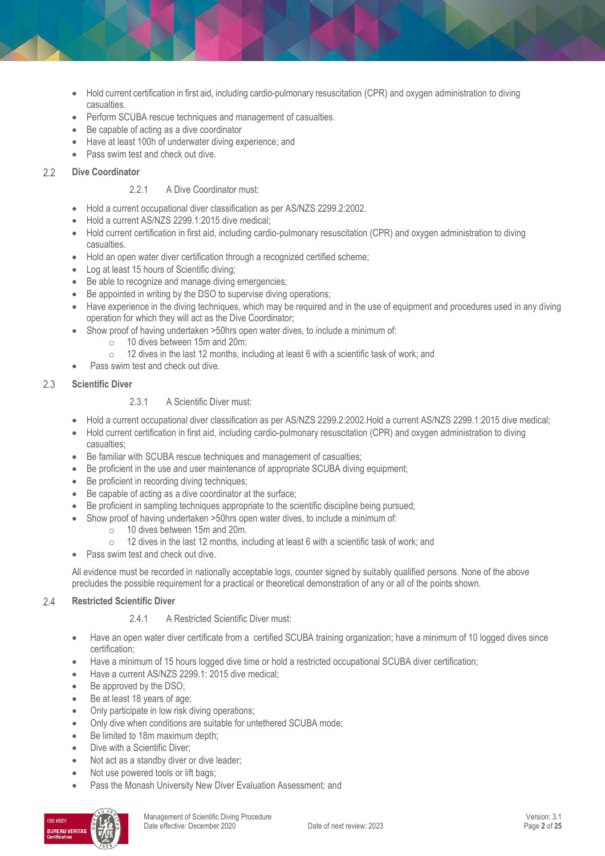- Hold current certification in first aid, including cardio-pulmonary resuscitation (CPR) and oxygen administration to diving casualties.
- Perform SCUBA rescue techniques and management of casualties.
- Be capable of acting as a dive coordinator
- Have at least 100h of underwater diving experience; and
- Pass swim test and check out dive.

#### **Dive Coordinator**  $2.2$

# 2.2.1 A Dive Coordinator must:

- Hold a current occupational diver classification as per AS/NZS 2299.2:2002.
- Hold a current AS/NZS 2299.1:2015 dive medical;
- Hold current certification in first aid, including cardio-pulmonary resuscitation (CPR) and oxygen administration to diving casualties.
- Hold an open water diver certification through a recognized certified scheme;
- Log at least 15 hours of Scientific diving;
- Be able to recognize and manage diving emergencies;
- Be appointed in writing by the DSO to supervise diving operations;
- Have experience in the diving techniques, which may be required and in the use of equipment and procedures used in any diving operation for which they will act as the Dive Coordinator;
- Show proof of having undertaken >50hrs open water dives, to include a minimum of:
	- o 10 dives between 15m and 20m;
	- o 12 dives in the last 12 months, including at least 6 with a scientific task of work; and
- Pass swim test and check out dive.

#### $2.3$ **Scientific Diver**

# 2.3.1 A Scientific Diver must:

- Hold a current occupational diver classification as per AS/NZS 2299.2:2002.Hold a current AS/NZS 2299.1:2015 dive medical;
- Hold current certification in first aid, including cardio-pulmonary resuscitation (CPR) and oxygen administration to diving casualties;
- Be familiar with SCUBA rescue techniques and management of casualties;
- Be proficient in the use and user maintenance of appropriate SCUBA diving equipment;
- Be proficient in recording diving techniques;
- Be capable of acting as a dive coordinator at the surface;
- Be proficient in sampling techniques appropriate to the scientific discipline being pursued;
- Show proof of having undertaken >50hrs open water dives, to include a minimum of:
	- o 10 dives between 15m and 20m.
	- o 12 dives in the last 12 months, including at least 6 with a scientific task of work; and
- Pass swim test and check out dive.

All evidence must be recorded in nationally acceptable logs, counter signed by suitably qualified persons. None of the above precludes the possible requirement for a practical or theoretical demonstration of any or all of the points shown.

#### $2.4$ **Restricted Scientific Diver**

# 2.4.1 A Restricted Scientific Diver must:

- Have an open water diver certificate from a certified SCUBA training organization; have a minimum of 10 logged dives since certification;
- Have a minimum of 15 hours logged dive time or hold a restricted occupational SCUBA diver certification;
- Have a current AS/NZS 2299.1: 2015 dive medical;
- $\bullet$  Be approved by the DSO;
- Be at least 18 years of age;
- Only participate in low risk diving operations;
- Only dive when conditions are suitable for untethered SCUBA mode;
- Be limited to 18m maximum depth;
- Dive with a Scientific Diver:
- Not act as a standby diver or dive leader;
- Not use powered tools or lift bags;
- Pass the Monash University New Diver Evaluation Assessment; and

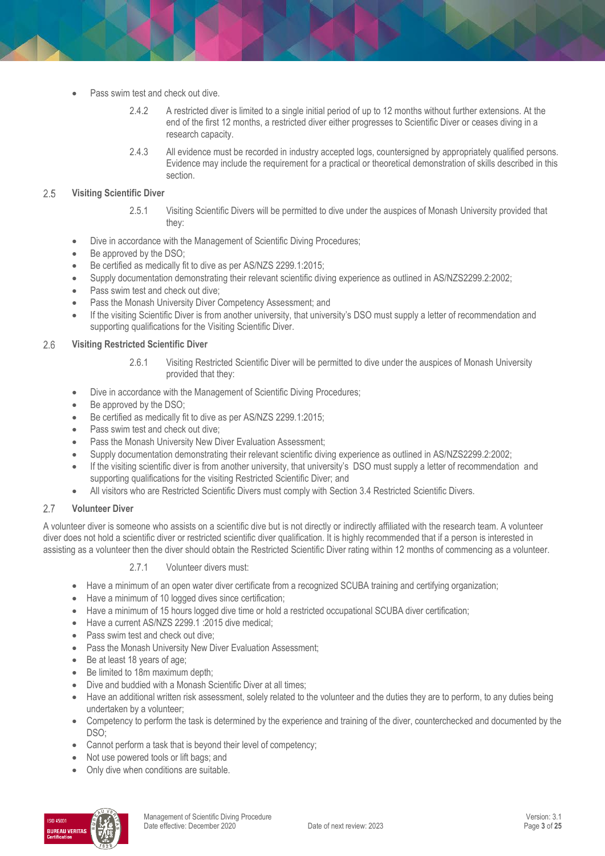- Pass swim test and check out dive.
	- 2.4.2 A restricted diver is limited to a single initial period of up to 12 months without further extensions. At the end of the first 12 months, a restricted diver either progresses to Scientific Diver or ceases diving in a research capacity.
	- 2.4.3 All evidence must be recorded in industry accepted logs, countersigned by appropriately qualified persons. Evidence may include the requirement for a practical or theoretical demonstration of skills described in this section.

#### 2.5 **Visiting Scientific Diver**

- 2.5.1 Visiting Scientific Divers will be permitted to dive under the auspices of Monash University provided that they:
- Dive in accordance with the Management of Scientific Diving Procedures;
- Be approved by the DSO;
- Be certified as medically fit to dive as per AS/NZS 2299.1:2015;
- Supply documentation demonstrating their relevant scientific diving experience as outlined in AS/NZS2299.2:2002;
- Pass swim test and check out dive;
- Pass the Monash University Diver Competency Assessment; and
- If the visiting Scientific Diver is from another university, that university's DSO must supply a letter of recommendation and supporting qualifications for the Visiting Scientific Diver.

#### 2.6 **Visiting Restricted Scientific Diver**

- 2.6.1 Visiting Restricted Scientific Diver will be permitted to dive under the auspices of Monash University provided that they:
- Dive in accordance with the Management of Scientific Diving Procedures;
- Be approved by the DSO;
- Be certified as medically fit to dive as per AS/NZS 2299.1:2015;
- Pass swim test and check out dive:
- Pass the Monash University New Diver Evaluation Assessment:
- Supply documentation demonstrating their relevant scientific diving experience as outlined in AS/NZS2299.2:2002;
- If the visiting scientific diver is from another university, that university's DSO must supply a letter of recommendation and supporting qualifications for the visiting Restricted Scientific Diver; and
- All visitors who are Restricted Scientific Divers must comply with Section 3.4 Restricted Scientific Divers.

#### 2.7 **Volunteer Diver**

A volunteer diver is someone who assists on a scientific dive but is not directly or indirectly affiliated with the research team. A volunteer diver does not hold a scientific diver or restricted scientific diver qualification. It is highly recommended that if a person is interested in assisting as a volunteer then the diver should obtain the Restricted Scientific Diver rating within 12 months of commencing as a volunteer.

# 2.7.1 Volunteer divers must:

- Have a minimum of an open water diver certificate from a recognized SCUBA training and certifying organization;
- Have a minimum of 10 logged dives since certification;
- Have a minimum of 15 hours logged dive time or hold a restricted occupational SCUBA diver certification;
- Have a current AS/NZS 2299.1 :2015 dive medical;
- Pass swim test and check out dive:
- Pass the Monash University New Diver Evaluation Assessment:
- Be at least 18 years of age;
- Be limited to 18m maximum depth;
- Dive and buddied with a Monash Scientific Diver at all times;
- Have an additional written risk assessment, solely related to the volunteer and the duties they are to perform, to any duties being undertaken by a volunteer;
- Competency to perform the task is determined by the experience and training of the diver, counterchecked and documented by the DSO;
- Cannot perform a task that is beyond their level of competency;
- Not use powered tools or lift bags; and
- Only dive when conditions are suitable.

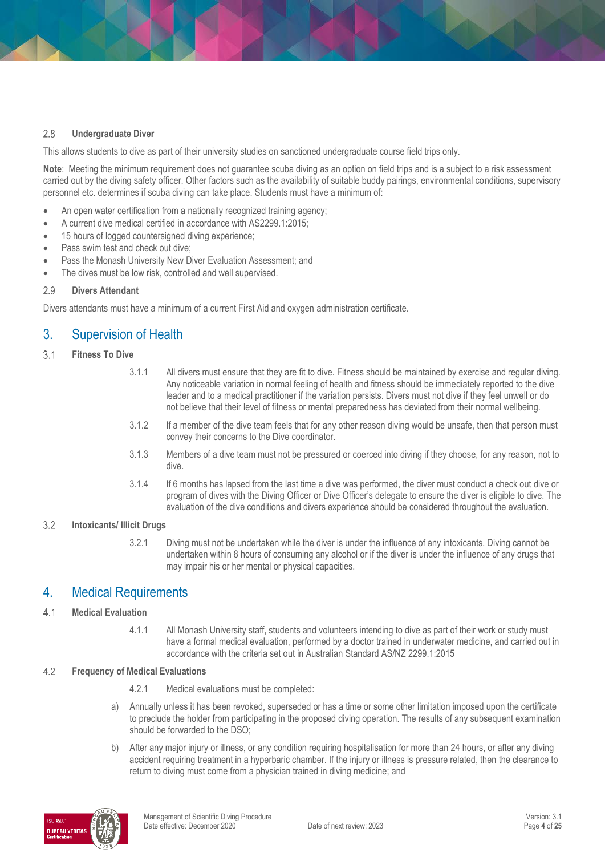#### $2.8$ **Undergraduate Diver**

This allows students to dive as part of their university studies on sanctioned undergraduate course field trips only.

Note: Meeting the minimum requirement does not quarantee scuba diving as an option on field trips and is a subject to a risk assessment carried out by the diving safety officer. Other factors such as the availability of suitable buddy pairings, environmental conditions, supervisory personnel etc. determines if scuba diving can take place. Students must have a minimum of:

- An open water certification from a nationally recognized training agency;
- A current dive medical certified in accordance with AS2299.1:2015;
- 15 hours of logged countersigned diving experience;
- Pass swim test and check out dive;
- Pass the Monash University New Diver Evaluation Assessment; and
- The dives must be low risk, controlled and well supervised.

#### 2.9 **Divers Attendant**

Divers attendants must have a minimum of a current First Aid and oxygen administration certificate.

# 3. Supervision of Health

- $3.1$ **Fitness To Dive**
	- 3.1.1 All divers must ensure that they are fit to dive. Fitness should be maintained by exercise and regular diving. Any noticeable variation in normal feeling of health and fitness should be immediately reported to the dive leader and to a medical practitioner if the variation persists. Divers must not dive if they feel unwell or do not believe that their level of fitness or mental preparedness has deviated from their normal wellbeing.
	- 3.1.2 If a member of the dive team feels that for any other reason diving would be unsafe, then that person must convey their concerns to the Dive coordinator.
	- 3.1.3 Members of a dive team must not be pressured or coerced into diving if they choose, for any reason, not to dive.
	- 3.1.4 If 6 months has lapsed from the last time a dive was performed, the diver must conduct a check out dive or program of dives with the Diving Officer or Dive Officer's delegate to ensure the diver is eligible to dive. The evaluation of the dive conditions and divers experience should be considered throughout the evaluation.

#### **Intoxicants/ Illicit Drugs**  $3.2$

3.2.1 Diving must not be undertaken while the diver is under the influence of any intoxicants. Diving cannot be undertaken within 8 hours of consuming any alcohol or if the diver is under the influence of any drugs that may impair his or her mental or physical capacities.

# 4. Medical Requirements

#### $4.1$ **Medical Evaluation**

4.1.1 All Monash University staff, students and volunteers intending to dive as part of their work or study must have a formal medical evaluation, performed by a doctor trained in underwater medicine, and carried out in accordance with the criteria set out in Australian Standard AS/NZ 2299.1:2015

#### $4.2$ **Frequency of Medical Evaluations**

- 4.2.1 Medical evaluations must be completed:
- a) Annually unless it has been revoked, superseded or has a time or some other limitation imposed upon the certificate to preclude the holder from participating in the proposed diving operation. The results of any subsequent examination should be forwarded to the DSO;
- b) After any major injury or illness, or any condition requiring hospitalisation for more than 24 hours, or after any diving accident requiring treatment in a hyperbaric chamber. If the injury or illness is pressure related, then the clearance to return to diving must come from a physician trained in diving medicine; and

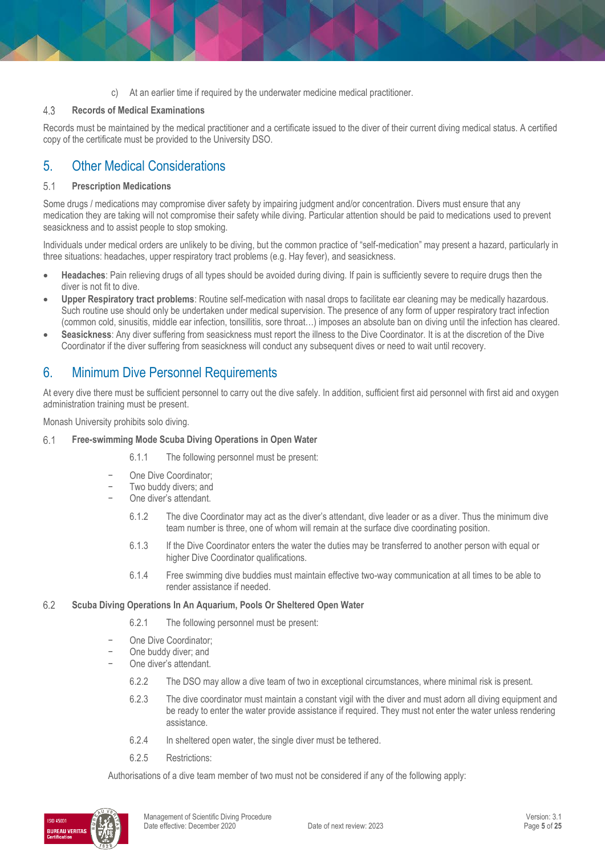c) At an earlier time if required by the underwater medicine medical practitioner.

#### $4.3$ **Records of Medical Examinations**

Records must be maintained by the medical practitioner and a certificate issued to the diver of their current diving medical status. A certified copy of the certificate must be provided to the University DSO.

# 5. Other Medical Considerations

#### $5.1$ **Prescription Medications**

Some drugs / medications may compromise diver safety by impairing judgment and/or concentration. Divers must ensure that any medication they are taking will not compromise their safety while diving. Particular attention should be paid to medications used to prevent seasickness and to assist people to stop smoking.

Individuals under medical orders are unlikely to be diving, but the common practice of "self-medication" may present a hazard, particularly in three situations: headaches, upper respiratory tract problems (e.g. Hay fever), and seasickness.

- **Headaches**: Pain relieving drugs of all types should be avoided during diving. If pain is sufficiently severe to require drugs then the diver is not fit to dive.
- **Upper Respiratory tract problems**: Routine self-medication with nasal drops to facilitate ear cleaning may be medically hazardous. Such routine use should only be undertaken under medical supervision. The presence of any form of upper respiratory tract infection (common cold, sinusitis, middle ear infection, tonsillitis, sore throat…) imposes an absolute ban on diving until the infection has cleared.
- **Seasickness**: Any diver suffering from seasickness must report the illness to the Dive Coordinator. It is at the discretion of the Dive Coordinator if the diver suffering from seasickness will conduct any subsequent dives or need to wait until recovery.

# 6. Minimum Dive Personnel Requirements

At every dive there must be sufficient personnel to carry out the dive safely. In addition, sufficient first aid personnel with first aid and oxygen administration training must be present.

Monash University prohibits solo diving.

#### 6.1 **Free-swimming Mode Scuba Diving Operations in Open Water**

- 6.1.1 The following personnel must be present:
- − One Dive Coordinator;
- Two buddy divers; and
- − One diver's attendant.
	- 6.1.2 The dive Coordinator may act as the diver's attendant, dive leader or as a diver. Thus the minimum dive team number is three, one of whom will remain at the surface dive coordinating position.
	- 6.1.3 If the Dive Coordinator enters the water the duties may be transferred to another person with equal or higher Dive Coordinator qualifications.
	- 6.1.4 Free swimming dive buddies must maintain effective two-way communication at all times to be able to render assistance if needed.

#### 6.2 **Scuba Diving Operations In An Aquarium, Pools Or Sheltered Open Water**

- 6.2.1 The following personnel must be present:
- One Dive Coordinator;
- − One buddy diver; and
- One diver's attendant.
	- 6.2.2 The DSO may allow a dive team of two in exceptional circumstances, where minimal risk is present.
	- 6.2.3 The dive coordinator must maintain a constant vigil with the diver and must adorn all diving equipment and be ready to enter the water provide assistance if required. They must not enter the water unless rendering assistance.
	- 6.2.4 In sheltered open water, the single diver must be tethered.
	- 6.2.5 Restrictions:

Authorisations of a dive team member of two must not be considered if any of the following apply:

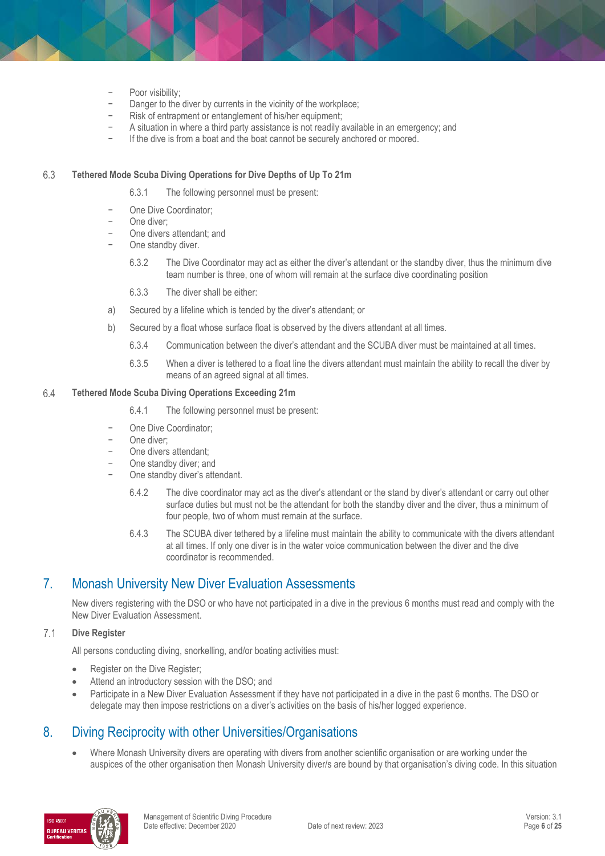- Poor visibility;
- Danger to the diver by currents in the vicinity of the workplace;
- − Risk of entrapment or entanglement of his/her equipment;
- A situation in where a third party assistance is not readily available in an emergency; and
- If the dive is from a boat and the boat cannot be securely anchored or moored.

#### 6.3 **Tethered Mode Scuba Diving Operations for Dive Depths of Up To 21m**

- 6.3.1 The following personnel must be present:
- One Dive Coordinator;
- − One diver;
- − One divers attendant; and
- One standby diver.
	- 6.3.2 The Dive Coordinator may act as either the diver's attendant or the standby diver, thus the minimum dive team number is three, one of whom will remain at the surface dive coordinating position
	- 6.3.3 The diver shall be either:
- a) Secured by a lifeline which is tended by the diver's attendant; or
- b) Secured by a float whose surface float is observed by the divers attendant at all times.
	- 6.3.4 Communication between the diver's attendant and the SCUBA diver must be maintained at all times.
	- 6.3.5 When a diver is tethered to a float line the divers attendant must maintain the ability to recall the diver by means of an agreed signal at all times.

#### 6.4 **Tethered Mode Scuba Diving Operations Exceeding 21m**

- 6.4.1 The following personnel must be present:
- One Dive Coordinator;
- − One diver;
- One divers attendant:
- One standby diver; and
- One standby diver's attendant.
	- 6.4.2 The dive coordinator may act as the diver's attendant or the stand by diver's attendant or carry out other surface duties but must not be the attendant for both the standby diver and the diver, thus a minimum of four people, two of whom must remain at the surface.
	- 6.4.3 The SCUBA diver tethered by a lifeline must maintain the ability to communicate with the divers attendant at all times. If only one diver is in the water voice communication between the diver and the dive coordinator is recommended.

# 7. Monash University New Diver Evaluation Assessments

New divers registering with the DSO or who have not participated in a dive in the previous 6 months must read and comply with the New Diver Evaluation Assessment.

#### $7.1$ **Dive Register**

All persons conducting diving, snorkelling, and/or boating activities must:

- Register on the Dive Register;
- Attend an introductory session with the DSO; and
- Participate in a New Diver Evaluation Assessment if they have not participated in a dive in the past 6 months. The DSO or delegate may then impose restrictions on a diver's activities on the basis of his/her logged experience.

# 8. Diving Reciprocity with other Universities/Organisations

 Where Monash University divers are operating with divers from another scientific organisation or are working under the auspices of the other organisation then Monash University diver/s are bound by that organisation's diving code. In this situation

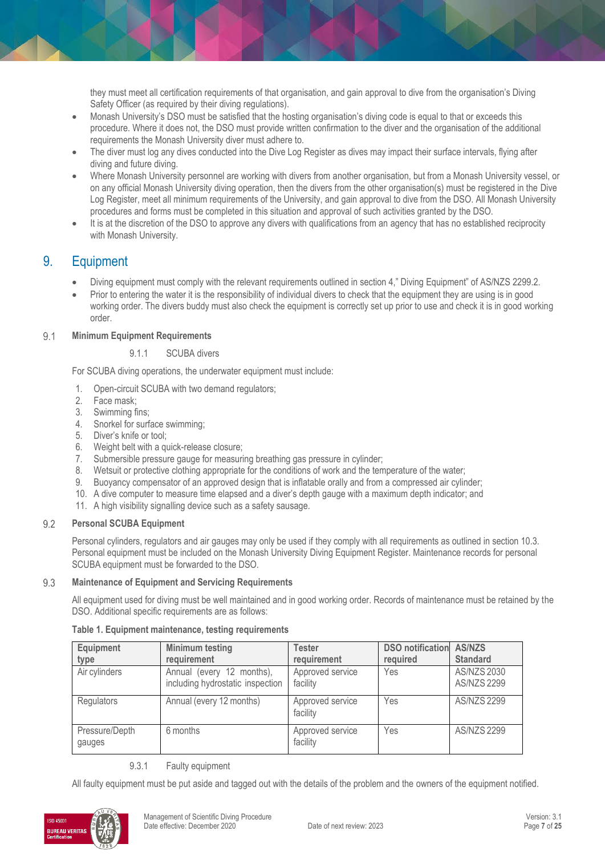they must meet all certification requirements of that organisation, and gain approval to dive from the organisation's Diving Safety Officer (as required by their diving regulations).

- Monash University's DSO must be satisfied that the hosting organisation's diving code is equal to that or exceeds this procedure. Where it does not, the DSO must provide written confirmation to the diver and the organisation of the additional requirements the Monash University diver must adhere to.
- The diver must log any dives conducted into the Dive Log Register as dives may impact their surface intervals, flying after diving and future diving.
- Where Monash University personnel are working with divers from another organisation, but from a Monash University vessel, or on any official Monash University diving operation, then the divers from the other organisation(s) must be registered in the Dive Log Register, meet all minimum requirements of the University, and gain approval to dive from the DSO. All Monash University procedures and forms must be completed in this situation and approval of such activities granted by the DSO.
- It is at the discretion of the DSO to approve any divers with qualifications from an agency that has no established reciprocity with Monash University.

# 9. Equipment

- Diving equipment must comply with the relevant requirements outlined in section 4," Diving Equipment" of AS/NZS 2299.2.
- Prior to entering the water it is the responsibility of individual divers to check that the equipment they are using is in good working order. The divers buddy must also check the equipment is correctly set up prior to use and check it is in good working order.

#### $9.1$ **Minimum Equipment Requirements**

### 9.1.1 SCUBA divers

For SCUBA diving operations, the underwater equipment must include:

- 1. Open-circuit SCUBA with two demand regulators;
- 2. Face mask;
- 3. Swimming fins;
- 4. Snorkel for surface swimming;
- 5. Diver's knife or tool;
- 6. Weight belt with a quick-release closure;
- 7. Submersible pressure gauge for measuring breathing gas pressure in cylinder;
- 8. Wetsuit or protective clothing appropriate for the conditions of work and the temperature of the water;
- 9. Buoyancy compensator of an approved design that is inflatable orally and from a compressed air cylinder;
- 10. A dive computer to measure time elapsed and a diver's depth gauge with a maximum depth indicator; and
- 11. A high visibility signalling device such as a safety sausage.

#### $9.2$ **Personal SCUBA Equipment**

Personal cylinders, regulators and air gauges may only be used if they comply with all requirements as outlined in section 10.3. Personal equipment must be included on the Monash University Diving Equipment Register. Maintenance records for personal SCUBA equipment must be forwarded to the DSO.

#### 9.3 **Maintenance of Equipment and Servicing Requirements**

All equipment used for diving must be well maintained and in good working order. Records of maintenance must be retained by the DSO. Additional specific requirements are as follows:

### **Table 1. Equipment maintenance, testing requirements**

| Equipment                | Minimum testing                                               | <b>Tester</b>                | <b>DSO notification AS/NZS</b> |                                          |
|--------------------------|---------------------------------------------------------------|------------------------------|--------------------------------|------------------------------------------|
| type                     | requirement                                                   | requirement                  | required                       | <b>Standard</b>                          |
| Air cylinders            | Annual (every 12 months),<br>including hydrostatic inspection | Approved service<br>facility | Yes                            | <b>AS/NZS 2030</b><br><b>AS/NZS 2299</b> |
| Regulators               | Annual (every 12 months)                                      | Approved service<br>facility | Yes                            | <b>AS/NZS 2299</b>                       |
| Pressure/Depth<br>gauges | 6 months                                                      | Approved service<br>facility | Yes                            | <b>AS/NZS 2299</b>                       |

# 9.3.1 Faulty equipment

All faulty equipment must be put aside and tagged out with the details of the problem and the owners of the equipment notified.

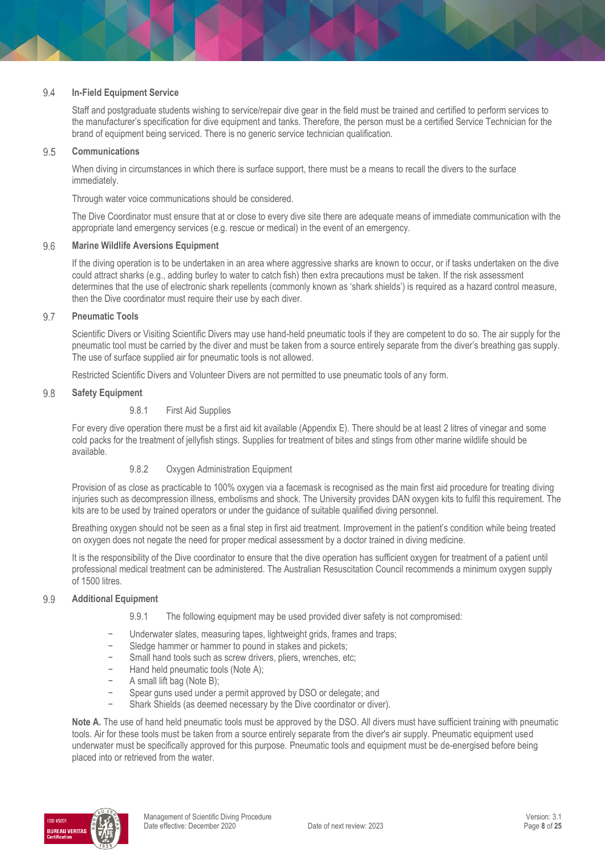#### 9.4 **In-Field Equipment Service**

Staff and postgraduate students wishing to service/repair dive gear in the field must be trained and certified to perform services to the manufacturer's specification for dive equipment and tanks. Therefore, the person must be a certified Service Technician for the brand of equipment being serviced. There is no generic service technician qualification.

#### 9.5 **Communications**

When diving in circumstances in which there is surface support, there must be a means to recall the divers to the surface immediately.

Through water voice communications should be considered.

The Dive Coordinator must ensure that at or close to every dive site there are adequate means of immediate communication with the appropriate land emergency services (e.g. rescue or medical) in the event of an emergency.

#### 9.6 **Marine Wildlife Aversions Equipment**

If the diving operation is to be undertaken in an area where aggressive sharks are known to occur, or if tasks undertaken on the dive could attract sharks (e.g., adding burley to water to catch fish) then extra precautions must be taken. If the risk assessment determines that the use of electronic shark repellents (commonly known as 'shark shields') is required as a hazard control measure, then the Dive coordinator must require their use by each diver.

#### 9.7 **Pneumatic Tools**

Scientific Divers or Visiting Scientific Divers may use hand-held pneumatic tools if they are competent to do so. The air supply for the pneumatic tool must be carried by the diver and must be taken from a source entirely separate from the diver's breathing gas supply. The use of surface supplied air for pneumatic tools is not allowed.

Restricted Scientific Divers and Volunteer Divers are not permitted to use pneumatic tools of any form.

#### 9.8 **Safety Equipment**

### 9.8.1 First Aid Supplies

For every dive operation there must be a first aid kit available (Appendix E). There should be at least 2 litres of vinegar and some cold packs for the treatment of jellyfish stings. Supplies for treatment of bites and stings from other marine wildlife should be available.

# 9.8.2 Oxygen Administration Equipment

Provision of as close as practicable to 100% oxygen via a facemask is recognised as the main first aid procedure for treating diving injuries such as decompression illness, embolisms and shock. The University provides DAN oxygen kits to fulfil this requirement. The kits are to be used by trained operators or under the guidance of suitable qualified diving personnel.

Breathing oxygen should not be seen as a final step in first aid treatment. Improvement in the patient's condition while being treated on oxygen does not negate the need for proper medical assessment by a doctor trained in diving medicine.

It is the responsibility of the Dive coordinator to ensure that the dive operation has sufficient oxygen for treatment of a patient until professional medical treatment can be administered. The Australian Resuscitation Council recommends a minimum oxygen supply of 1500 litres.

#### 9.9 **Additional Equipment**

- 9.9.1 The following equipment may be used provided diver safety is not compromised:
- Underwater slates, measuring tapes, lightweight grids, frames and traps;
- Sledge hammer or hammer to pound in stakes and pickets;
- Small hand tools such as screw drivers, pliers, wrenches, etc;
- − Hand held pneumatic tools (Note A);
- − A small lift bag (Note B);
- Spear guns used under a permit approved by DSO or delegate; and
- Shark Shields (as deemed necessary by the Dive coordinator or diver).

**Note A.** The use of hand held pneumatic tools must be approved by the DSO. All divers must have sufficient training with pneumatic tools. Air for these tools must be taken from a source entirely separate from the diver's air supply. Pneumatic equipment used underwater must be specifically approved for this purpose. Pneumatic tools and equipment must be de-energised before being placed into or retrieved from the water.

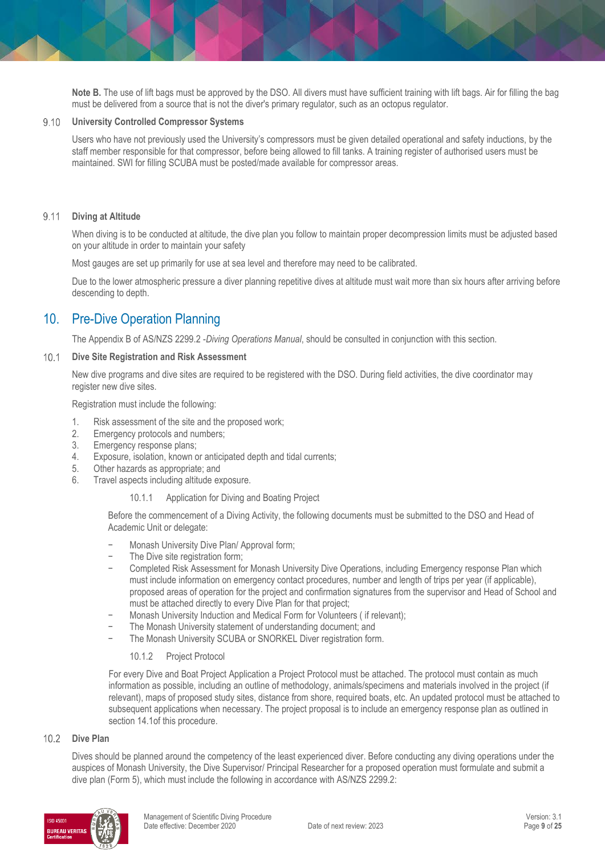**Note B.** The use of lift bags must be approved by the DSO. All divers must have sufficient training with lift bags. Air for filling the bag must be delivered from a source that is not the diver's primary regulator, such as an octopus regulator.

### **University Controlled Compressor Systems**

Users who have not previously used the University's compressors must be given detailed operational and safety inductions, by the staff member responsible for that compressor, before being allowed to fill tanks. A training register of authorised users must be maintained. SWI for filling SCUBA must be posted/made available for compressor areas.

#### 9.11 **Diving at Altitude**

When diving is to be conducted at altitude, the dive plan you follow to maintain proper decompression limits must be adjusted based on your altitude in order to maintain your safety

Most gauges are set up primarily for use at sea level and therefore may need to be calibrated.

Due to the lower atmospheric pressure a diver planning repetitive dives at altitude must wait more than six hours after arriving before descending to depth.

# 10. Pre-Dive Operation Planning

The Appendix B of AS/NZS 2299.2 -*Diving Operations Manual*, should be consulted in conjunction with this section.

#### $10.1$ **Dive Site Registration and Risk Assessment**

New dive programs and dive sites are required to be registered with the DSO. During field activities, the dive coordinator may register new dive sites.

Registration must include the following:

- 1. Risk assessment of the site and the proposed work;
- 2. Emergency protocols and numbers;
- 3. Emergency response plans;
- 4. Exposure, isolation, known or anticipated depth and tidal currents;
- 5. Other hazards as appropriate; and
- 6. Travel aspects including altitude exposure.
	- 10.1.1 Application for Diving and Boating Project

Before the commencement of a Diving Activity, the following documents must be submitted to the DSO and Head of Academic Unit or delegate:

- − Monash University Dive Plan/ Approval form;
- The Dive site registration form;
- − Completed Risk Assessment for Monash University Dive Operations, including Emergency response Plan which must include information on emergency contact procedures, number and length of trips per year (if applicable), proposed areas of operation for the project and confirmation signatures from the supervisor and Head of School and must be attached directly to every Dive Plan for that project;
- − Monash University Induction and Medical Form for Volunteers ( if relevant);
- The Monash University statement of understanding document; and
	- The Monash University SCUBA or SNORKEL Diver registration form.

### 10.1.2 Project Protocol

For every Dive and Boat Project Application a Project Protocol must be attached. The protocol must contain as much information as possible, including an outline of methodology, animals/specimens and materials involved in the project (if relevant), maps of proposed study sites, distance from shore, required boats, etc. An updated protocol must be attached to subsequent applications when necessary. The project proposal is to include an emergency response plan as outlined in section 14.1of this procedure.

### 10.2 Dive Plan

Dives should be planned around the competency of the least experienced diver. Before conducting any diving operations under the auspices of Monash University, the Dive Supervisor/ Principal Researcher for a proposed operation must formulate and submit a dive plan (Form 5), which must include the following in accordance with AS/NZS 2299.2:

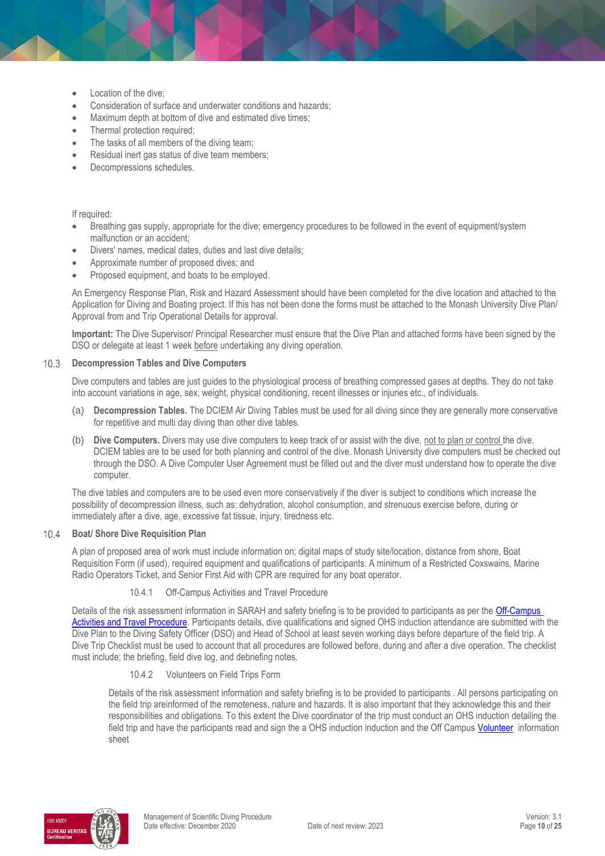- Location of the dive;
- Consideration of surface and underwater conditions and hazards;
- Maximum depth at bottom of dive and estimated dive times;
- Thermal protection required;
- The tasks of all members of the diving team;
- Residual inert gas status of dive team members;
- Decompressions schedules.

### If required:

- Breathing gas supply, appropriate for the dive; emergency procedures to be followed in the event of equipment/system malfunction or an accident;
- Divers' names, medical dates, duties and last dive details;
- Approximate number of proposed dives; and
- Proposed equipment, and boats to be employed.

An Emergency Response Plan, Risk and Hazard Assessment should have been completed for the dive location and attached to the Application for Diving and Boating project. If this has not been done the forms must be attached to the Monash University Dive Plan/ Approval from and Trip Operational Details for approval.

**Important:** The Dive Supervisor/ Principal Researcher must ensure that the Dive Plan and attached forms have been signed by the DSO or delegate at least 1 week before undertaking any diving operation.

#### $10.3$ **Decompression Tables and Dive Computers**

Dive computers and tables are just guides to the physiological process of breathing compressed gases at depths. They do not take into account variations in age, sex, weight, physical conditioning, recent illnesses or injuries etc., of individuals.

- (a) **Decompression Tables.** The DCIEM Air Diving Tables must be used for all diving since they are generally more conservative for repetitive and multi day diving than other dive tables.
- (b) **Dive Computers.** Divers may use dive computers to keep track of or assist with the dive, not to plan or control the dive. DCIEM tables are to be used for both planning and control of the dive. Monash University dive computers must be checked out through the DSO. A Dive Computer User Agreement must be filled out and the diver must understand how to operate the dive computer.

The dive tables and computers are to be used even more conservatively if the diver is subject to conditions which increase the possibility of decompression illness, such as: dehydration, alcohol consumption, and strenuous exercise before, during or immediately after a dive, age, excessive fat tissue, injury, tiredness etc.

#### **Boat/ Shore Dive Requisition Plan**  $10.4$

A plan of proposed area of work must include information on; digital maps of study site/location, distance from shore, Boat Requisition Form (if used), required equipment and qualifications of participants. A minimum of a Restricted Coxswains, Marine Radio Operators Ticket, and Senior First Aid with CPR are required for any boat operator.

# 10.4.1 Off-Campus Activities and Travel Procedure

Details of the risk assessment information in SARAH and safety briefing is to be provided to participants as per the Off-Campus [Activities and Travel Procedure.](https://publicpolicydms.monash.edu/Monash/documents/1935633) Participants details, dive qualifications and signed OHS induction attendance are submitted with the Dive Plan to the Diving Safety Officer (DSO) and Head of School at least seven working days before departure of the field trip. A Dive Trip Checklist must be used to account that all procedures are followed before, during and after a dive operation. The checklist must include; the briefing, field dive log, and debriefing notes.

### 10.4.2 Volunteers on Field Trips Form

Details of the risk assessment information and safety briefing is to be provided to participants . All persons participating on the field trip areinformed of the remoteness, nature and hazards. It is also important that they acknowledge this and their responsibilities and obligations. To this extent the Dive coordinator of the trip must conduct an OHS induction detailing the field trip and have the participants read and sign the a OHS induction induction and the Off Campus [Volunteer](https://www.monash.edu/__data/assets/pdf_file/0007/126178/volunteer-infor.pdf) information sheet

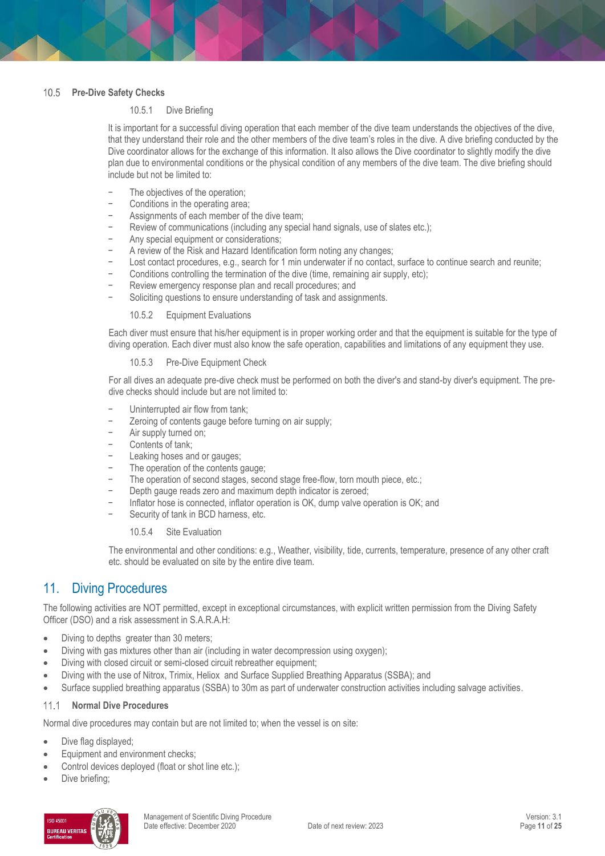# 10.5 Pre-Dive Safety Checks

### 10.5.1 Dive Briefing

It is important for a successful diving operation that each member of the dive team understands the objectives of the dive, that they understand their role and the other members of the dive team's roles in the dive. A dive briefing conducted by the Dive coordinator allows for the exchange of this information. It also allows the Dive coordinator to slightly modify the dive plan due to environmental conditions or the physical condition of any members of the dive team. The dive briefing should include but not be limited to:

- The objectives of the operation;
- − Conditions in the operating area;
- Assignments of each member of the dive team;
- − Review of communications (including any special hand signals, use of slates etc.);
- Any special equipment or considerations;
- − A review of the Risk and Hazard Identification form noting any changes;
- Lost contact procedures, e.g., search for 1 min underwater if no contact, surface to continue search and reunite;
- − Conditions controlling the termination of the dive (time, remaining air supply, etc);
- Review emergency response plan and recall procedures; and
- Soliciting questions to ensure understanding of task and assignments.

10.5.2 Equipment Evaluations

Each diver must ensure that his/her equipment is in proper working order and that the equipment is suitable for the type of diving operation. Each diver must also know the safe operation, capabilities and limitations of any equipment they use.

### 10.5.3 Pre-Dive Equipment Check

For all dives an adequate pre-dive check must be performed on both the diver's and stand-by diver's equipment. The predive checks should include but are not limited to:

- Uninterrupted air flow from tank;
- Zeroing of contents gauge before turning on air supply;
- − Air supply turned on;
- − Contents of tank;
- Leaking hoses and or gauges;
- The operation of the contents gauge;
- The operation of second stages, second stage free-flow, torn mouth piece, etc.;
- Depth gauge reads zero and maximum depth indicator is zeroed;
- − Inflator hose is connected, inflator operation is OK, dump valve operation is OK; and
- Security of tank in BCD harness, etc.

10.5.4 Site Evaluation

The environmental and other conditions: e.g., Weather, visibility, tide, currents, temperature, presence of any other craft etc. should be evaluated on site by the entire dive team.

# 11. Diving Procedures

The following activities are NOT permitted, except in exceptional circumstances, with explicit written permission from the Diving Safety Officer (DSO) and a risk assessment in S.A.R.A.H:

- Diving to depths greater than 30 meters;
- Diving with gas mixtures other than air (including in water decompression using oxygen);
- Diving with closed circuit or semi-closed circuit rebreather equipment;
- Diving with the use of Nitrox, Trimix, Heliox and Surface Supplied Breathing Apparatus (SSBA); and
- Surface supplied breathing apparatus (SSBA) to 30m as part of underwater construction activities including salvage activities.

#### **Normal Dive Procedures**  $111$

Normal dive procedures may contain but are not limited to; when the vessel is on site:

- Dive flag displayed;
- Equipment and environment checks;
- Control devices deployed (float or shot line etc.);
- Dive briefing;

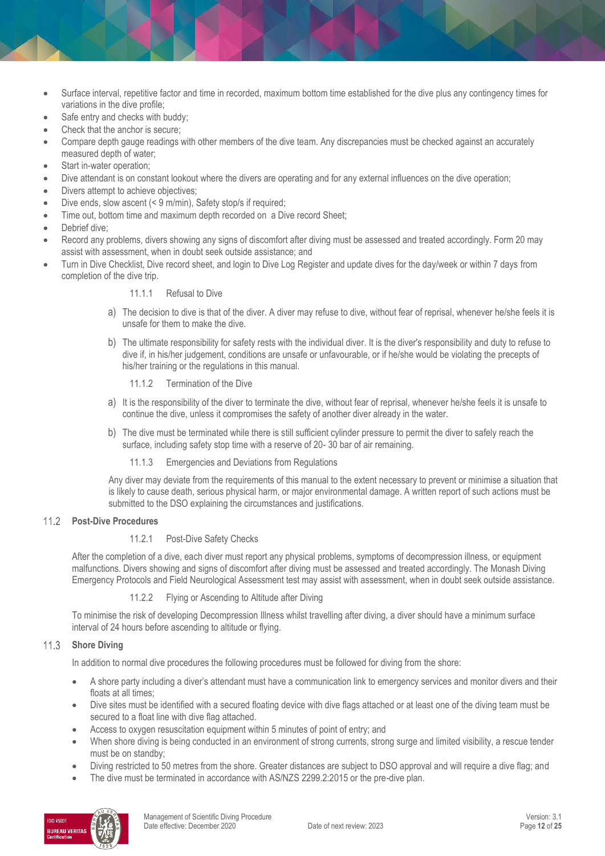- Surface interval, repetitive factor and time in recorded, maximum bottom time established for the dive plus any contingency times for variations in the dive profile;
- Safe entry and checks with buddy;
- Check that the anchor is secure;
- Compare depth gauge readings with other members of the dive team. Any discrepancies must be checked against an accurately measured depth of water;
- Start in-water operation;
- Dive attendant is on constant lookout where the divers are operating and for any external influences on the dive operation;
- Divers attempt to achieve objectives;
- Dive ends, slow ascent (< 9 m/min), Safety stop/s if required;
- Time out, bottom time and maximum depth recorded on a Dive record Sheet;
- Debrief dive;
- Record any problems, divers showing any signs of discomfort after diving must be assessed and treated accordingly. Form 20 may assist with assessment, when in doubt seek outside assistance; and
- Turn in Dive Checklist, Dive record sheet, and login to Dive Log Register and update dives for the day/week or within 7 days from completion of the dive trip.

### 11.1.1 Refusal to Dive

- a) The decision to dive is that of the diver. A diver may refuse to dive, without fear of reprisal, whenever he/she feels it is unsafe for them to make the dive.
- b) The ultimate responsibility for safety rests with the individual diver. It is the diver's responsibility and duty to refuse to dive if, in his/her judgement, conditions are unsafe or unfavourable, or if he/she would be violating the precepts of his/her training or the regulations in this manual.
	- 11.1.2 Termination of the Dive
- a) It is the responsibility of the diver to terminate the dive, without fear of reprisal, whenever he/she feels it is unsafe to continue the dive, unless it compromises the safety of another diver already in the water.
- b) The dive must be terminated while there is still sufficient cylinder pressure to permit the diver to safely reach the surface, including safety stop time with a reserve of 20- 30 bar of air remaining.
	- 11.1.3 Emergencies and Deviations from Regulations

Any diver may deviate from the requirements of this manual to the extent necessary to prevent or minimise a situation that is likely to cause death, serious physical harm, or major environmental damage. A written report of such actions must be submitted to the DSO explaining the circumstances and justifications.

# **Post-Dive Procedures**

# 11.2.1 Post-Dive Safety Checks

After the completion of a dive, each diver must report any physical problems, symptoms of decompression illness, or equipment malfunctions. Divers showing and signs of discomfort after diving must be assessed and treated accordingly. The Monash Diving Emergency Protocols and Field Neurological Assessment test may assist with assessment, when in doubt seek outside assistance.

11.2.2 Flying or Ascending to Altitude after Diving

To minimise the risk of developing Decompression Illness whilst travelling after diving, a diver should have a minimum surface interval of 24 hours before ascending to altitude or flying.

#### $11.3$ **Shore Diving**

In addition to normal dive procedures the following procedures must be followed for diving from the shore:

- A shore party including a diver's attendant must have a communication link to emergency services and monitor divers and their floats at all times;
- Dive sites must be identified with a secured floating device with dive flags attached or at least one of the diving team must be secured to a float line with dive flag attached.
- Access to oxygen resuscitation equipment within 5 minutes of point of entry; and
- When shore diving is being conducted in an environment of strong currents, strong surge and limited visibility, a rescue tender must be on standby;
- Diving restricted to 50 metres from the shore. Greater distances are subject to DSO approval and will require a dive flag; and
- The dive must be terminated in accordance with AS/NZS 2299.2:2015 or the pre-dive plan.

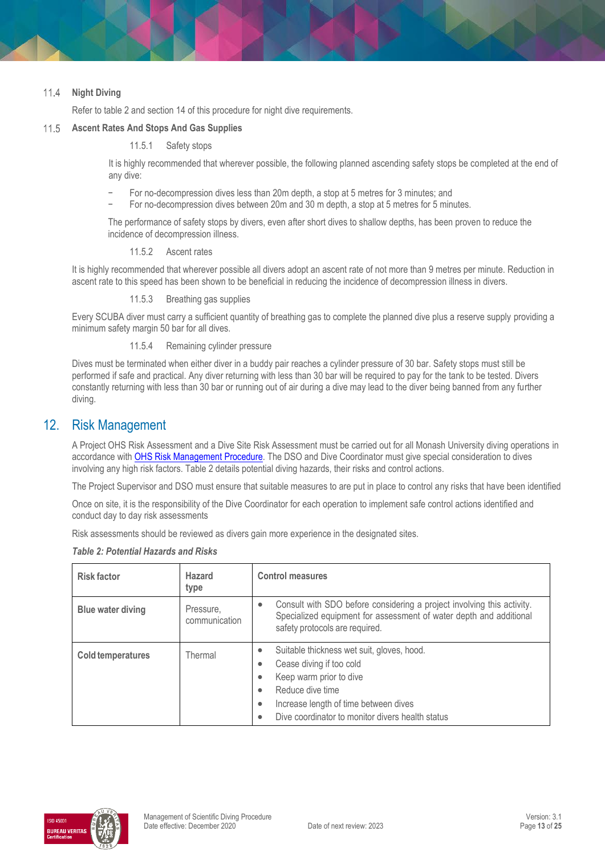#### 11.4 **Night Diving**

Refer to table 2 and section 14 of this procedure for night dive requirements.

#### $11.5$ **Ascent Rates And Stops And Gas Supplies**

### 11.5.1 Safety stops

It is highly recommended that wherever possible, the following planned ascending safety stops be completed at the end of any dive:

- − For no-decompression dives less than 20m depth, a stop at 5 metres for 3 minutes; and
- − For no-decompression dives between 20m and 30 m depth, a stop at 5 metres for 5 minutes.

The performance of safety stops by divers, even after short dives to shallow depths, has been proven to reduce the incidence of decompression illness.

### 11.5.2 Ascent rates

It is highly recommended that wherever possible all divers adopt an ascent rate of not more than 9 metres per minute. Reduction in ascent rate to this speed has been shown to be beneficial in reducing the incidence of decompression illness in divers.

11.5.3 Breathing gas supplies

Every SCUBA diver must carry a sufficient quantity of breathing gas to complete the planned dive plus a reserve supply providing a minimum safety margin 50 bar for all dives.

11.5.4 Remaining cylinder pressure

Dives must be terminated when either diver in a buddy pair reaches a cylinder pressure of 30 bar. Safety stops must still be performed if safe and practical. Any diver returning with less than 30 bar will be required to pay for the tank to be tested. Divers constantly returning with less than 30 bar or running out of air during a dive may lead to the diver being banned from any further diving.

# 12. Risk Management

A Project OHS Risk Assessment and a Dive Site Risk Assessment must be carried out for all Monash University diving operations in accordance wit[h OHS Risk Management Procedure.](https://publicpolicydms.monash.edu/Monash/documents/1935636) The DSO and Dive Coordinator must give special consideration to dives involving any high risk factors. Table 2 details potential diving hazards, their risks and control actions.

The Project Supervisor and DSO must ensure that suitable measures to are put in place to control any risks that have been identified

Once on site, it is the responsibility of the Dive Coordinator for each operation to implement safe control actions identified and conduct day to day risk assessments

Risk assessments should be reviewed as divers gain more experience in the designated sites.

| <b>Risk factor</b> | <b>Hazard</b><br>type      | <b>Control measures</b>                                                                                                                                                                                                                                                                  |
|--------------------|----------------------------|------------------------------------------------------------------------------------------------------------------------------------------------------------------------------------------------------------------------------------------------------------------------------------------|
| Blue water diving  | Pressure,<br>communication | Consult with SDO before considering a project involving this activity.<br>$\bullet$<br>Specialized equipment for assessment of water depth and additional<br>safety protocols are required.                                                                                              |
| Cold temperatures  | Thermal                    | Suitable thickness wet suit, gloves, hood.<br>$\bullet$<br>Cease diving if too cold<br>٠<br>Keep warm prior to dive<br>$\bullet$<br>Reduce dive time<br>$\bullet$<br>Increase length of time between dives<br>$\bullet$<br>Dive coordinator to monitor divers health status<br>$\bullet$ |

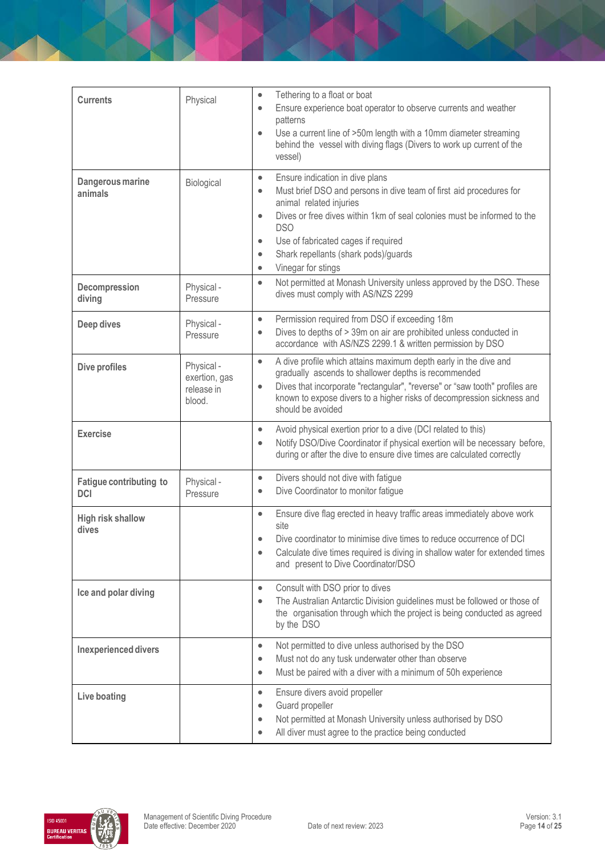| <b>Currents</b>                              | Physical                                            | Tethering to a float or boat<br>$\bullet$<br>Ensure experience boat operator to observe currents and weather<br>$\bullet$<br>patterns<br>Use a current line of >50m length with a 10mm diameter streaming<br>$\bullet$<br>behind the vessel with diving flags (Divers to work up current of the<br>vessel)                                                                                                    |
|----------------------------------------------|-----------------------------------------------------|---------------------------------------------------------------------------------------------------------------------------------------------------------------------------------------------------------------------------------------------------------------------------------------------------------------------------------------------------------------------------------------------------------------|
| Dangerous marine<br>animals                  | Biological                                          | Ensure indication in dive plans<br>$\bullet$<br>Must brief DSO and persons in dive team of first aid procedures for<br>$\bullet$<br>animal related injuries<br>Dives or free dives within 1km of seal colonies must be informed to the<br>$\bullet$<br><b>DSO</b><br>Use of fabricated cages if required<br>$\bullet$<br>Shark repellants (shark pods)/guards<br>$\bullet$<br>Vinegar for stings<br>$\bullet$ |
| Decompression<br>diving                      | Physical -<br>Pressure                              | Not permitted at Monash University unless approved by the DSO. These<br>$\bullet$<br>dives must comply with AS/NZS 2299                                                                                                                                                                                                                                                                                       |
| Deep dives                                   | Physical -<br>Pressure                              | Permission required from DSO if exceeding 18m<br>$\bullet$<br>Dives to depths of > 39m on air are prohibited unless conducted in<br>$\bullet$<br>accordance with AS/NZS 2299.1 & written permission by DSO                                                                                                                                                                                                    |
| <b>Dive profiles</b>                         | Physical -<br>exertion, gas<br>release in<br>blood. | A dive profile which attains maximum depth early in the dive and<br>$\bullet$<br>gradually ascends to shallower depths is recommended<br>Dives that incorporate "rectangular", "reverse" or "saw tooth" profiles are<br>$\bullet$<br>known to expose divers to a higher risks of decompression sickness and<br>should be avoided                                                                              |
| <b>Exercise</b>                              |                                                     | Avoid physical exertion prior to a dive (DCI related to this)<br>$\bullet$<br>Notify DSO/Dive Coordinator if physical exertion will be necessary before,<br>$\bullet$<br>during or after the dive to ensure dive times are calculated correctly                                                                                                                                                               |
| <b>Fatigue contributing to</b><br><b>DCI</b> | Physical -<br>Pressure                              | Divers should not dive with fatigue<br>$\bullet$<br>Dive Coordinator to monitor fatigue<br>$\bullet$                                                                                                                                                                                                                                                                                                          |
| <b>High risk shallow</b><br>dives            |                                                     | Ensure dive flag erected in heavy traffic areas immediately above work<br>$\bullet$<br>site<br>Dive coordinator to minimise dive times to reduce occurrence of DCI<br>Calculate dive times required is diving in shallow water for extended times<br>$\bullet$<br>and present to Dive Coordinator/DSO                                                                                                         |
| Ice and polar diving                         |                                                     | Consult with DSO prior to dives<br>$\bullet$<br>The Australian Antarctic Division guidelines must be followed or those of<br>$\bullet$<br>the organisation through which the project is being conducted as agreed<br>by the DSO                                                                                                                                                                               |
| Inexperienced divers                         |                                                     | Not permitted to dive unless authorised by the DSO<br>$\bullet$<br>Must not do any tusk underwater other than observe<br>$\bullet$<br>Must be paired with a diver with a minimum of 50h experience<br>$\bullet$                                                                                                                                                                                               |
| Live boating                                 |                                                     | Ensure divers avoid propeller<br>$\bullet$<br>Guard propeller<br>$\bullet$<br>Not permitted at Monash University unless authorised by DSO<br>$\bullet$<br>All diver must agree to the practice being conducted<br>$\bullet$                                                                                                                                                                                   |

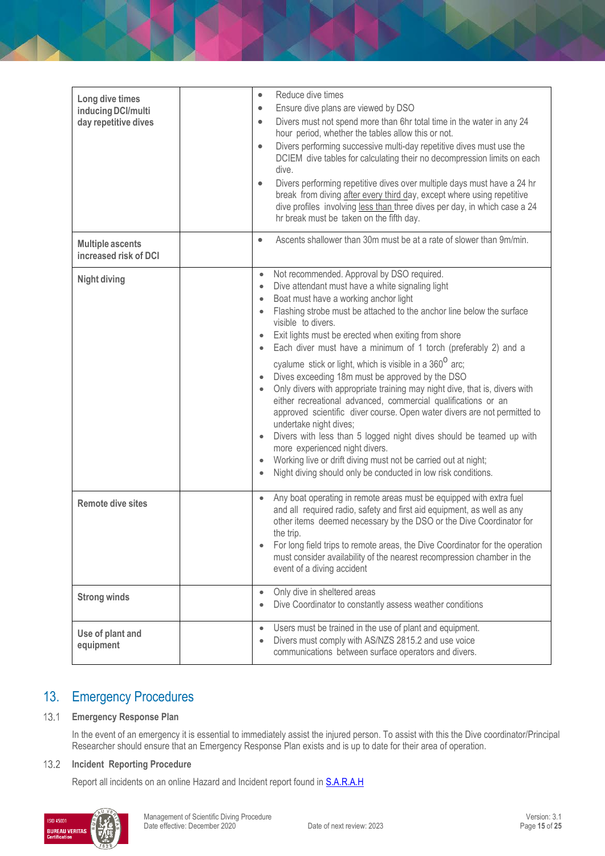| Long dive times<br>inducing DCI/multi<br>day repetitive dives | Reduce dive times<br>$\bullet$<br>Ensure dive plans are viewed by DSO<br>$\bullet$<br>Divers must not spend more than 6hr total time in the water in any 24<br>$\bullet$<br>hour period, whether the tables allow this or not.<br>Divers performing successive multi-day repetitive dives must use the<br>$\bullet$<br>DCIEM dive tables for calculating their no decompression limits on each<br>dive.                                                                                                                                                                                                                                                                                                                                                                                                                                                                                                                                                                                                                                                                                                                                   |
|---------------------------------------------------------------|-------------------------------------------------------------------------------------------------------------------------------------------------------------------------------------------------------------------------------------------------------------------------------------------------------------------------------------------------------------------------------------------------------------------------------------------------------------------------------------------------------------------------------------------------------------------------------------------------------------------------------------------------------------------------------------------------------------------------------------------------------------------------------------------------------------------------------------------------------------------------------------------------------------------------------------------------------------------------------------------------------------------------------------------------------------------------------------------------------------------------------------------|
|                                                               | Divers performing repetitive dives over multiple days must have a 24 hr<br>$\bullet$<br>break from diving after every third day, except where using repetitive<br>dive profiles involving less than three dives per day, in which case a 24<br>hr break must be taken on the fifth day.                                                                                                                                                                                                                                                                                                                                                                                                                                                                                                                                                                                                                                                                                                                                                                                                                                                   |
| <b>Multiple ascents</b><br>increased risk of DCI              | Ascents shallower than 30m must be at a rate of slower than 9m/min.<br>$\bullet$                                                                                                                                                                                                                                                                                                                                                                                                                                                                                                                                                                                                                                                                                                                                                                                                                                                                                                                                                                                                                                                          |
| <b>Night diving</b>                                           | Not recommended. Approval by DSO required.<br>$\bullet$<br>Dive attendant must have a white signaling light<br>$\bullet$<br>Boat must have a working anchor light<br>$\bullet$<br>Flashing strobe must be attached to the anchor line below the surface<br>$\bullet$<br>visible to divers.<br>Exit lights must be erected when exiting from shore<br>$\bullet$<br>Each diver must have a minimum of 1 torch (preferably 2) and a<br>$\bullet$<br>cyalume stick or light, which is visible in a 360 <sup>°</sup> arc;<br>Dives exceeding 18m must be approved by the DSO<br>$\bullet$<br>Only divers with appropriate training may night dive, that is, divers with<br>$\bullet$<br>either recreational advanced, commercial qualifications or an<br>approved scientific diver course. Open water divers are not permitted to<br>undertake night dives;<br>Divers with less than 5 logged night dives should be teamed up with<br>$\bullet$<br>more experienced night divers.<br>Working live or drift diving must not be carried out at night;<br>$\bullet$<br>Night diving should only be conducted in low risk conditions.<br>$\bullet$ |
| <b>Remote dive sites</b>                                      | Any boat operating in remote areas must be equipped with extra fuel<br>$\bullet$<br>and all required radio, safety and first aid equipment, as well as any<br>other items deemed necessary by the DSO or the Dive Coordinator for<br>the trip.<br>For long field trips to remote areas, the Dive Coordinator for the operation<br>must consider availability of the nearest recompression chamber in the<br>event of a diving accident                                                                                                                                                                                                                                                                                                                                                                                                                                                                                                                                                                                                                                                                                                    |
| <b>Strong winds</b>                                           | Only dive in sheltered areas<br>$\bullet$<br>Dive Coordinator to constantly assess weather conditions<br>$\bullet$                                                                                                                                                                                                                                                                                                                                                                                                                                                                                                                                                                                                                                                                                                                                                                                                                                                                                                                                                                                                                        |
| Use of plant and<br>equipment                                 | Users must be trained in the use of plant and equipment.<br>$\bullet$<br>Divers must comply with AS/NZS 2815.2 and use voice<br>$\bullet$<br>communications between surface operators and divers.                                                                                                                                                                                                                                                                                                                                                                                                                                                                                                                                                                                                                                                                                                                                                                                                                                                                                                                                         |

# 13. Emergency Procedures

#### $13.1$ **Emergency Response Plan**

In the event of an emergency it is essential to immediately assist the injured person. To assist with this the Dive coordinator/Principal Researcher should ensure that an Emergency Response Plan exists and is up to date for their area of operation.

# **Incident Reporting Procedure**

Report all incidents on an online Hazard and Incident report found in **S.A.R.A.H** 

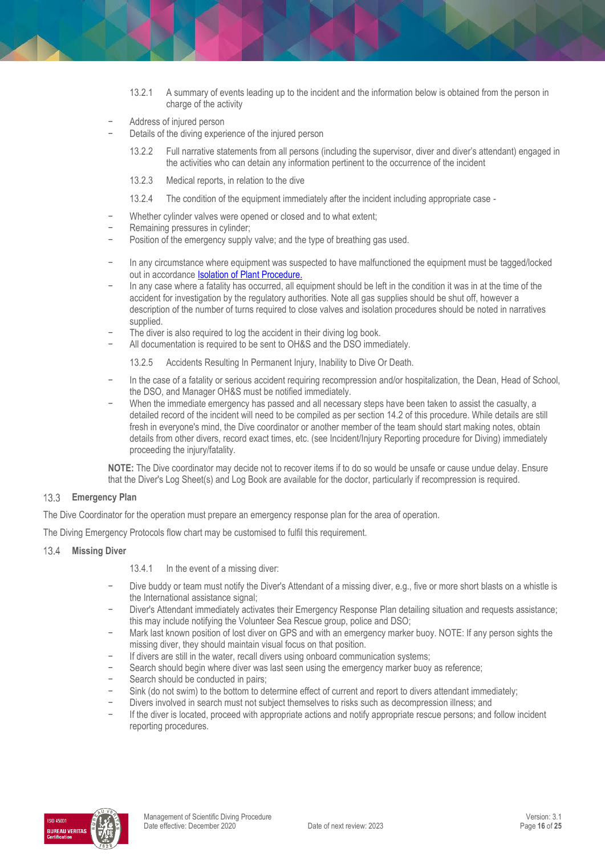- 13.2.1 A summary of events leading up to the incident and the information below is obtained from the person in charge of the activity
- − Address of injured person
- Details of the diving experience of the injured person
	- 13.2.2 Full narrative statements from all persons (including the supervisor, diver and diver's attendant) engaged in the activities who can detain any information pertinent to the occurrence of the incident
	- 13.2.3 Medical reports, in relation to the dive
	- 13.2.4 The condition of the equipment immediately after the incident including appropriate case -
- − Whether cylinder valves were opened or closed and to what extent;
- − Remaining pressures in cylinder;
- Position of the emergency supply valve; and the type of breathing gas used.
- − In any circumstance where equipment was suspected to have malfunctioned the equipment must be tagged/locked out in accordanc[e Isolation of Plant Procedure.](https://publicpolicydms.monash.edu/Monash/documents/1935617)
- In any case where a fatality has occurred, all equipment should be left in the condition it was in at the time of the accident for investigation by the regulatory authorities. Note all gas supplies should be shut off, however a description of the number of turns required to close valves and isolation procedures should be noted in narratives supplied.
- The diver is also required to log the accident in their diving log book.
- − All documentation is required to be sent to OH&S and the DSO immediately.

13.2.5 Accidents Resulting In Permanent Injury, Inability to Dive Or Death.

- − In the case of a fatality or serious accident requiring recompression and/or hospitalization, the Dean, Head of School, the DSO, and Manager OH&S must be notified immediately.
- When the immediate emergency has passed and all necessary steps have been taken to assist the casualty, a detailed record of the incident will need to be compiled as per section 14.2 of this procedure. While details are still fresh in everyone's mind, the Dive coordinator or another member of the team should start making notes, obtain details from other divers, record exact times, etc. (see Incident/Injury Reporting procedure for Diving) immediately proceeding the injury/fatality.

**NOTE:** The Dive coordinator may decide not to recover items if to do so would be unsafe or cause undue delay. Ensure that the Diver's Log Sheet(s) and Log Book are available for the doctor, particularly if recompression is required.

# **Emergency Plan**

The Dive Coordinator for the operation must prepare an emergency response plan for the area of operation.

The Diving Emergency Protocols flow chart may be customised to fulfil this requirement.

 $13.4$ **Missing Diver**

13.4.1 In the event of a missing diver:

- Dive buddy or team must notify the Diver's Attendant of a missing diver, e.g., five or more short blasts on a whistle is the International assistance signal;
- − Diver's Attendant immediately activates their Emergency Response Plan detailing situation and requests assistance; this may include notifying the Volunteer Sea Rescue group, police and DSO;
- Mark last known position of lost diver on GPS and with an emergency marker buoy. NOTE: If any person sights the missing diver, they should maintain visual focus on that position.
- If divers are still in the water, recall divers using onboard communication systems;
- Search should begin where diver was last seen using the emergency marker buoy as reference;
- Search should be conducted in pairs;
- Sink (do not swim) to the bottom to determine effect of current and report to divers attendant immediately;
- Divers involved in search must not subject themselves to risks such as decompression illness; and
- − If the diver is located, proceed with appropriate actions and notify appropriate rescue persons; and follow incident reporting procedures.

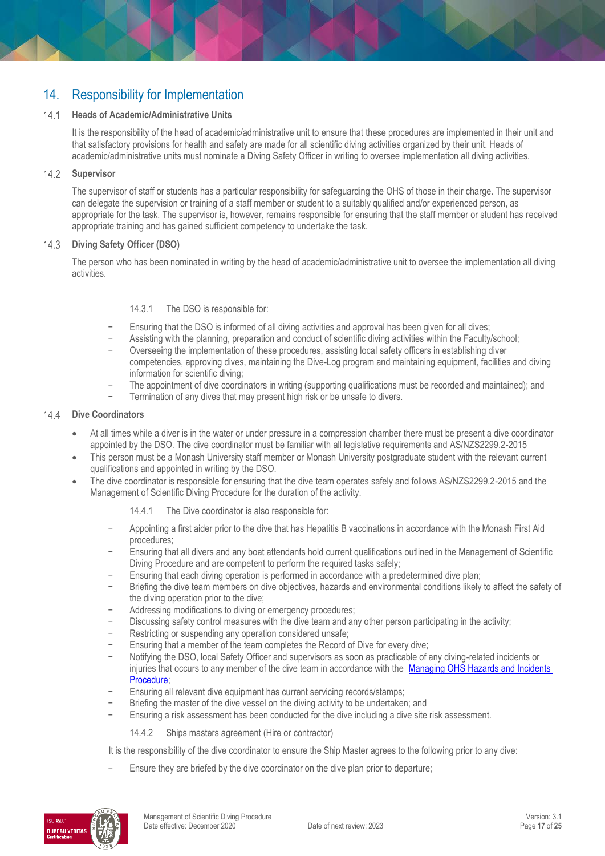# 14. Responsibility for Implementation

#### $14.1$ **Heads of Academic/Administrative Units**

It is the responsibility of the head of academic/administrative unit to ensure that these procedures are implemented in their unit and that satisfactory provisions for health and safety are made for all scientific diving activities organized by their unit. Heads of academic/administrative units must nominate a Diving Safety Officer in writing to oversee implementation all diving activities.

#### $14.2$ **Supervisor**

The supervisor of staff or students has a particular responsibility for safeguarding the OHS of those in their charge. The supervisor can delegate the supervision or training of a staff member or student to a suitably qualified and/or experienced person, as appropriate for the task. The supervisor is, however, remains responsible for ensuring that the staff member or student has received appropriate training and has gained sufficient competency to undertake the task.

# **Diving Safety Officer (DSO)**

The person who has been nominated in writing by the head of academic/administrative unit to oversee the implementation all diving activities.

### 14.3.1 The DSO is responsible for:

- Ensuring that the DSO is informed of all diving activities and approval has been given for all dives;
- − Assisting with the planning, preparation and conduct of scientific diving activities within the Faculty/school;
- − Overseeing the implementation of these procedures, assisting local safety officers in establishing diver competencies, approving dives, maintaining the Dive-Log program and maintaining equipment, facilities and diving information for scientific diving;
- − The appointment of dive coordinators in writing (supporting qualifications must be recorded and maintained); and
- Termination of any dives that may present high risk or be unsafe to divers.

### 14.4 Dive Coordinators

- At all times while a diver is in the water or under pressure in a compression chamber there must be present a dive coordinator appointed by the DSO. The dive coordinator must be familiar with all legislative requirements and AS/NZS2299.2-2015
- This person must be a Monash University staff member or Monash University postgraduate student with the relevant current qualifications and appointed in writing by the DSO.
- The dive coordinator is responsible for ensuring that the dive team operates safely and follows AS/NZS2299.2-2015 and the Management of Scientific Diving Procedure for the duration of the activity.

14.4.1 The Dive coordinator is also responsible for:

- − Appointing a first aider prior to the dive that has Hepatitis B vaccinations in accordance with the Monash First Aid procedures;
- Ensuring that all divers and any boat attendants hold current qualifications outlined in the Management of Scientific Diving Procedure and are competent to perform the required tasks safely;
- − Ensuring that each diving operation is performed in accordance with a predetermined dive plan;
- Briefing the dive team members on dive objectives, hazards and environmental conditions likely to affect the safety of the diving operation prior to the dive;
- − Addressing modifications to diving or emergency procedures;
- Discussing safety control measures with the dive team and any other person participating in the activity;
- − Restricting or suspending any operation considered unsafe;
- − Ensuring that a member of the team completes the Record of Dive for every dive;
- − Notifying the DSO, local Safety Officer and supervisors as soon as practicable of any diving-related incidents or injuries that occurs to any member of the dive team in accordance with the Managing OHS Hazards and Incidents [Procedure;](https://publicpolicydms.monash.edu/Monash/documents/1935623)
- Ensuring all relevant dive equipment has current servicing records/stamps;
- Briefing the master of the dive vessel on the diving activity to be undertaken; and
- Ensuring a risk assessment has been conducted for the dive including a dive site risk assessment.

14.4.2 Ships masters agreement (Hire or contractor)

It is the responsibility of the dive coordinator to ensure the Ship Master agrees to the following prior to any dive:

Ensure they are briefed by the dive coordinator on the dive plan prior to departure;

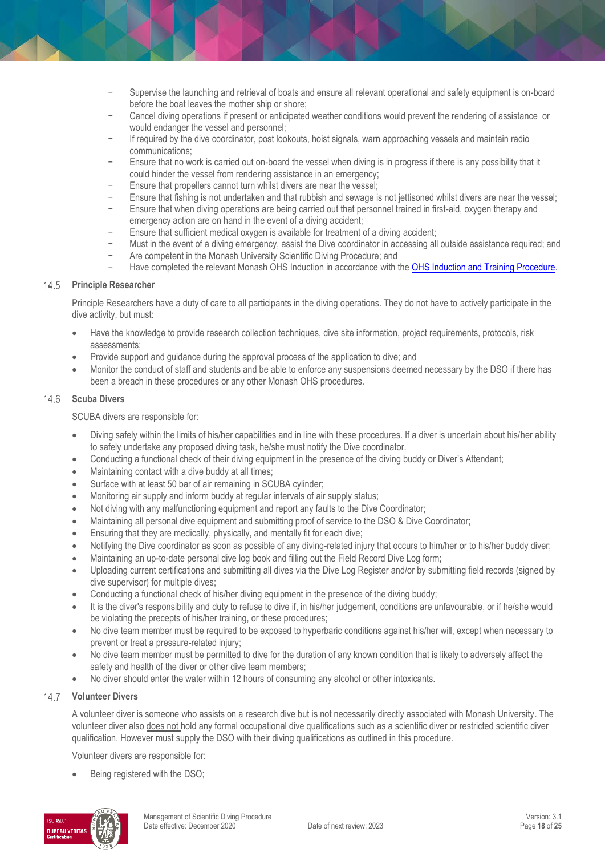- Supervise the launching and retrieval of boats and ensure all relevant operational and safety equipment is on-board before the boat leaves the mother ship or shore;
- − Cancel diving operations if present or anticipated weather conditions would prevent the rendering of assistance or would endanger the vessel and personnel;
- − If required by the dive coordinator, post lookouts, hoist signals, warn approaching vessels and maintain radio communications;
- Ensure that no work is carried out on-board the vessel when diving is in progress if there is any possibility that it could hinder the vessel from rendering assistance in an emergency;
- Ensure that propellers cannot turn whilst divers are near the vessel:
- − Ensure that fishing is not undertaken and that rubbish and sewage is not jettisoned whilst divers are near the vessel;<br>− Fnsure that when diving operations are being carried out that personnel trained in first-aid, oxyg
- Ensure that when diving operations are being carried out that personnel trained in first-aid, oxygen therapy and emergency action are on hand in the event of a diving accident;
- Ensure that sufficient medical oxygen is available for treatment of a diving accident;
- − Must in the event of a diving emergency, assist the Dive coordinator in accessing all outside assistance required; and
- Are competent in the Monash University Scientific Diving Procedure; and
- − Have completed the relevant Monash OHS Induction in accordance with the [OHS Induction and Training Procedure.](https://publicpolicydms.monash.edu/Monash/documents/1935627)

### **Principle Researcher**

Principle Researchers have a duty of care to all participants in the diving operations. They do not have to actively participate in the dive activity, but must:

- Have the knowledge to provide research collection techniques, dive site information, project requirements, protocols, risk assessments;
- Provide support and guidance during the approval process of the application to dive; and
- Monitor the conduct of staff and students and be able to enforce any suspensions deemed necessary by the DSO if there has been a breach in these procedures or any other Monash OHS procedures.

#### $14.6$ **Scuba Divers**

SCUBA divers are responsible for:

- Diving safely within the limits of his/her capabilities and in line with these procedures. If a diver is uncertain about his/her ability to safely undertake any proposed diving task, he/she must notify the Dive coordinator.
- Conducting a functional check of their diving equipment in the presence of the diving buddy or Diver's Attendant;
- Maintaining contact with a dive buddy at all times;
- Surface with at least 50 bar of air remaining in SCUBA cylinder;
- Monitoring air supply and inform buddy at regular intervals of air supply status;
- Not diving with any malfunctioning equipment and report any faults to the Dive Coordinator;
- Maintaining all personal dive equipment and submitting proof of service to the DSO & Dive Coordinator;
- **Ensuring that they are medically, physically, and mentally fit for each dive;**
- Notifying the Dive coordinator as soon as possible of any diving-related injury that occurs to him/her or to his/her buddy diver;
- Maintaining an up-to-date personal dive log book and filling out the Field Record Dive Log form;
- Uploading current certifications and submitting all dives via the Dive Log Register and/or by submitting field records (signed by dive supervisor) for multiple dives;
- Conducting a functional check of his/her diving equipment in the presence of the diving buddy;
- It is the diver's responsibility and duty to refuse to dive if, in his/her judgement, conditions are unfavourable, or if he/she would be violating the precepts of his/her training, or these procedures;
- No dive team member must be required to be exposed to hyperbaric conditions against his/her will, except when necessary to prevent or treat a pressure-related injury;
- No dive team member must be permitted to dive for the duration of any known condition that is likely to adversely affect the safety and health of the diver or other dive team members;
- No diver should enter the water within 12 hours of consuming any alcohol or other intoxicants.

#### $14.7$ **Volunteer Divers**

A volunteer diver is someone who assists on a research dive but is not necessarily directly associated with Monash University. The volunteer diver also does not hold any formal occupational dive qualifications such as a scientific diver or restricted scientific diver qualification. However must supply the DSO with their diving qualifications as outlined in this procedure.

Volunteer divers are responsible for:

Being registered with the DSO;

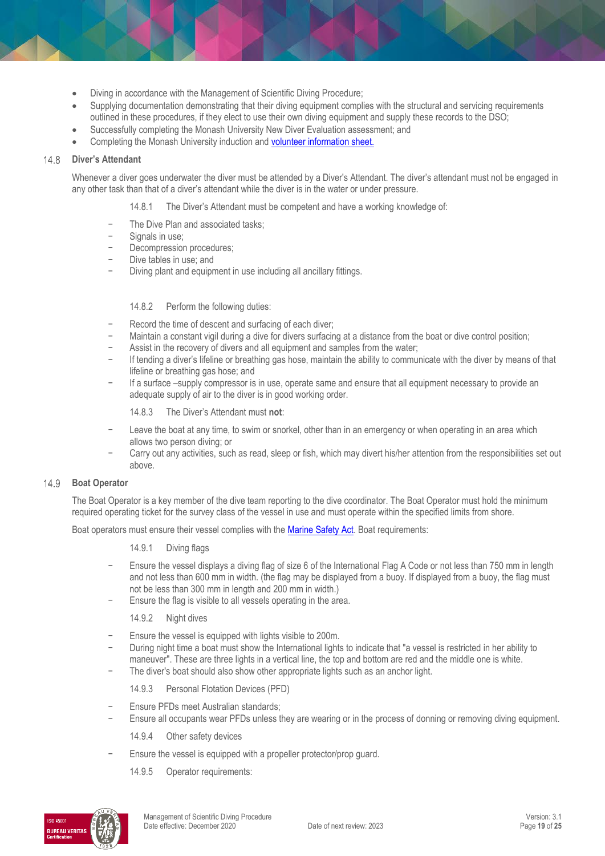- Diving in accordance with the Management of Scientific Diving Procedure;
- Supplying documentation demonstrating that their diving equipment complies with the structural and servicing requirements outlined in these procedures, if they elect to use their own diving equipment and supply these records to the DSO;
- Successfully completing the Monash University New Diver Evaluation assessment; and
- Completing the Monash University induction and [volunteer information sheet.](https://www.monash.edu/__data/assets/pdf_file/0007/126178/volunteer-infor.pdf)

#### $14.8$ **Diver's Attendant**

Whenever a diver goes underwater the diver must be attended by a Diver's Attendant. The diver's attendant must not be engaged in any other task than that of a diver's attendant while the diver is in the water or under pressure.

14.8.1 The Diver's Attendant must be competent and have a working knowledge of:

- − The Dive Plan and associated tasks;
- − Signals in use;
- − Decompression procedures;
- Dive tables in use; and
- Diving plant and equipment in use including all ancillary fittings.

### 14.8.2 Perform the following duties:

- Record the time of descent and surfacing of each diver;
- − Maintain a constant vigil during a dive for divers surfacing at a distance from the boat or dive control position;
- − Assist in the recovery of divers and all equipment and samples from the water;
- − If tending a diver's lifeline or breathing gas hose, maintain the ability to communicate with the diver by means of that lifeline or breathing gas hose; and
- − If a surface –supply compressor is in use, operate same and ensure that all equipment necessary to provide an adequate supply of air to the diver is in good working order.

14.8.3 The Diver's Attendant must **not**:

- Leave the boat at any time, to swim or snorkel, other than in an emergency or when operating in an area which allows two person diving; or
- − Carry out any activities, such as read, sleep or fish, which may divert his/her attention from the responsibilities set out above.

### 14.9 **Boat Operator**

The Boat Operator is a key member of the dive team reporting to the dive coordinator. The Boat Operator must hold the minimum required operating ticket for the survey class of the vessel in use and must operate within the specified limits from shore.

Boat operators must ensure their vessel complies with the [Marine Safety Act.](http://www.legislation.vic.gov.au/Domino/Web_Notes/LDMS/PubStatbook.nsf/f932b66241ecf1b7ca256e92000e23be/b3af367ef42bf4a4ca2577ac0021cf9d!OpenDocument) Boat requirements:

14.9.1 Diving flags

- Ensure the vessel displays a diving flag of size 6 of the International Flag A Code or not less than 750 mm in length and not less than 600 mm in width. (the flag may be displayed from a buoy. If displayed from a buoy, the flag must not be less than 300 mm in length and 200 mm in width.)
- Ensure the flag is visible to all vessels operating in the area.

14.9.2 Night dives

- Ensure the vessel is equipped with lights visible to 200m.
- − During night time a boat must show the International lights to indicate that "a vessel is restricted in her ability to maneuver". These are three lights in a vertical line, the top and bottom are red and the middle one is white.
- The diver's boat should also show other appropriate lights such as an anchor light.

14.9.3 Personal Flotation Devices (PFD)

- Ensure PFDs meet Australian standards;
- Ensure all occupants wear PFDs unless they are wearing or in the process of donning or removing diving equipment.

14.9.4 Other safety devices

- Ensure the vessel is equipped with a propeller protector/prop guard.
	- 14.9.5 Operator requirements:

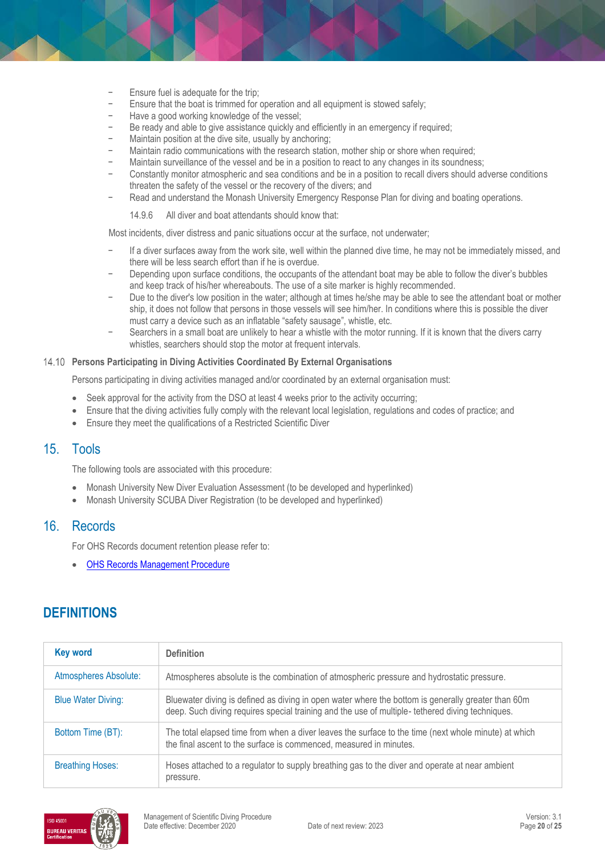- Ensure fuel is adequate for the trip;
- Ensure that the boat is trimmed for operation and all equipment is stowed safely;
- Have a good working knowledge of the vessel;
- Be ready and able to give assistance quickly and efficiently in an emergency if required;
- Maintain position at the dive site, usually by anchoring;
- − Maintain radio communications with the research station, mother ship or shore when required;
- Maintain surveillance of the vessel and be in a position to react to any changes in its soundness;
- − Constantly monitor atmospheric and sea conditions and be in a position to recall divers should adverse conditions threaten the safety of the vessel or the recovery of the divers; and
- − Read and understand the Monash University Emergency Response Plan for diving and boating operations.

14.9.6 All diver and boat attendants should know that:

Most incidents, diver distress and panic situations occur at the surface, not underwater;

- − If a diver surfaces away from the work site, well within the planned dive time, he may not be immediately missed, and there will be less search effort than if he is overdue.
- Depending upon surface conditions, the occupants of the attendant boat may be able to follow the diver's bubbles and keep track of his/her whereabouts. The use of a site marker is highly recommended.
- Due to the diver's low position in the water; although at times he/she may be able to see the attendant boat or mother ship, it does not follow that persons in those vessels will see him/her. In conditions where this is possible the diver must carry a device such as an inflatable "safety sausage", whistle, etc.
- Searchers in a small boat are unlikely to hear a whistle with the motor running. If it is known that the divers carry whistles, searchers should stop the motor at frequent intervals.

# **Persons Participating in Diving Activities Coordinated By External Organisations**

Persons participating in diving activities managed and/or coordinated by an external organisation must:

- Seek approval for the activity from the DSO at least 4 weeks prior to the activity occurring;
- Ensure that the diving activities fully comply with the relevant local legislation, regulations and codes of practice; and
- Ensure they meet the qualifications of a Restricted Scientific Diver

# 15. Tools

The following tools are associated with this procedure:

- Monash University New Diver Evaluation Assessment (to be developed and hyperlinked)
- Monash University SCUBA Diver Registration (to be developed and hyperlinked)

# 16. Records

For OHS Records document retention please refer to:

[OHS Records Management Procedure](https://publicpolicydms.monash.edu/Monash/documents/1935642)

# **DEFINITIONS**

| <b>Key word</b>           | <b>Definition</b>                                                                                                                                                                                      |
|---------------------------|--------------------------------------------------------------------------------------------------------------------------------------------------------------------------------------------------------|
| Atmospheres Absolute:     | Atmospheres absolute is the combination of atmospheric pressure and hydrostatic pressure.                                                                                                              |
| <b>Blue Water Diving:</b> | Bluewater diving is defined as diving in open water where the bottom is generally greater than 60m<br>deep. Such diving requires special training and the use of multiple- tethered diving techniques. |
| Bottom Time (BT):         | The total elapsed time from when a diver leaves the surface to the time (next whole minute) at which<br>the final ascent to the surface is commenced, measured in minutes.                             |
| <b>Breathing Hoses:</b>   | Hoses attached to a regulator to supply breathing gas to the diver and operate at near ambient<br>pressure.                                                                                            |

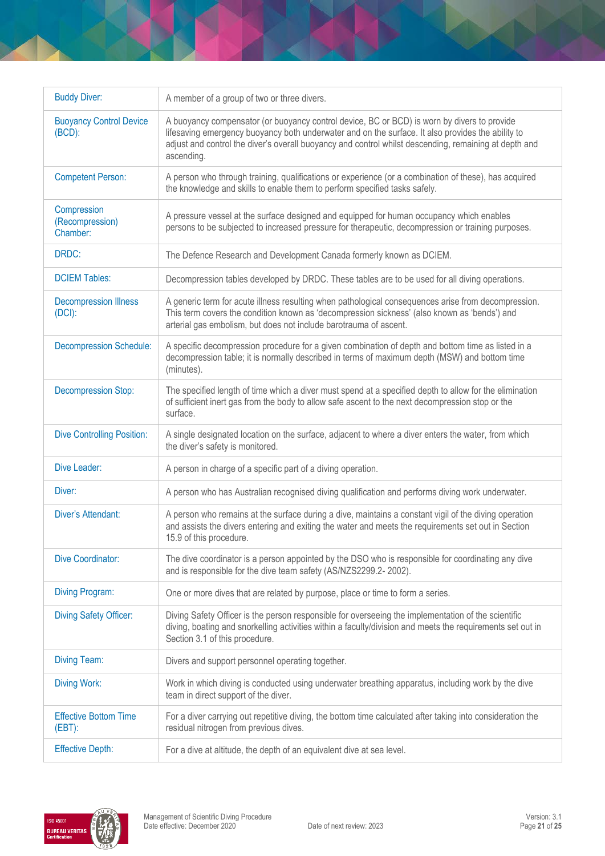| <b>Buddy Diver:</b>                         | A member of a group of two or three divers.                                                                                                                                                                                                                                                                             |
|---------------------------------------------|-------------------------------------------------------------------------------------------------------------------------------------------------------------------------------------------------------------------------------------------------------------------------------------------------------------------------|
| <b>Buoyancy Control Device</b><br>$(BCD)$ : | A buoyancy compensator (or buoyancy control device, BC or BCD) is worn by divers to provide<br>lifesaving emergency buoyancy both underwater and on the surface. It also provides the ability to<br>adjust and control the diver's overall buoyancy and control whilst descending, remaining at depth and<br>ascending. |
| <b>Competent Person:</b>                    | A person who through training, qualifications or experience (or a combination of these), has acquired<br>the knowledge and skills to enable them to perform specified tasks safely.                                                                                                                                     |
| Compression<br>(Recompression)<br>Chamber:  | A pressure vessel at the surface designed and equipped for human occupancy which enables<br>persons to be subjected to increased pressure for therapeutic, decompression or training purposes.                                                                                                                          |
| DRDC:                                       | The Defence Research and Development Canada formerly known as DCIEM.                                                                                                                                                                                                                                                    |
| <b>DCIEM Tables:</b>                        | Decompression tables developed by DRDC. These tables are to be used for all diving operations.                                                                                                                                                                                                                          |
| <b>Decompression Illness</b><br>(DCI):      | A generic term for acute illness resulting when pathological consequences arise from decompression.<br>This term covers the condition known as 'decompression sickness' (also known as 'bends') and<br>arterial gas embolism, but does not include barotrauma of ascent.                                                |
| <b>Decompression Schedule:</b>              | A specific decompression procedure for a given combination of depth and bottom time as listed in a<br>decompression table; it is normally described in terms of maximum depth (MSW) and bottom time<br>(minutes).                                                                                                       |
| <b>Decompression Stop:</b>                  | The specified length of time which a diver must spend at a specified depth to allow for the elimination<br>of sufficient inert gas from the body to allow safe ascent to the next decompression stop or the<br>surface.                                                                                                 |
| <b>Dive Controlling Position:</b>           | A single designated location on the surface, adjacent to where a diver enters the water, from which<br>the diver's safety is monitored.                                                                                                                                                                                 |
| Dive Leader:                                | A person in charge of a specific part of a diving operation.                                                                                                                                                                                                                                                            |
| Diver:                                      | A person who has Australian recognised diving qualification and performs diving work underwater.                                                                                                                                                                                                                        |
| Diver's Attendant:                          | A person who remains at the surface during a dive, maintains a constant vigil of the diving operation<br>and assists the divers entering and exiting the water and meets the requirements set out in Section<br>15.9 of this procedure.                                                                                 |
| Dive Coordinator:                           | The dive coordinator is a person appointed by the DSO who is responsible for coordinating any dive<br>and is responsible for the dive team safety (AS/NZS2299.2-2002).                                                                                                                                                  |
| <b>Diving Program:</b>                      | One or more dives that are related by purpose, place or time to form a series.                                                                                                                                                                                                                                          |
| <b>Diving Safety Officer:</b>               | Diving Safety Officer is the person responsible for overseeing the implementation of the scientific<br>diving, boating and snorkelling activities within a faculty/division and meets the requirements set out in<br>Section 3.1 of this procedure.                                                                     |
| <b>Diving Team:</b>                         | Divers and support personnel operating together.                                                                                                                                                                                                                                                                        |
| <b>Diving Work:</b>                         | Work in which diving is conducted using underwater breathing apparatus, including work by the dive<br>team in direct support of the diver.                                                                                                                                                                              |
| <b>Effective Bottom Time</b><br>$(EBT)$ :   | For a diver carrying out repetitive diving, the bottom time calculated after taking into consideration the<br>residual nitrogen from previous dives.                                                                                                                                                                    |
| <b>Effective Depth:</b>                     | For a dive at altitude, the depth of an equivalent dive at sea level.                                                                                                                                                                                                                                                   |

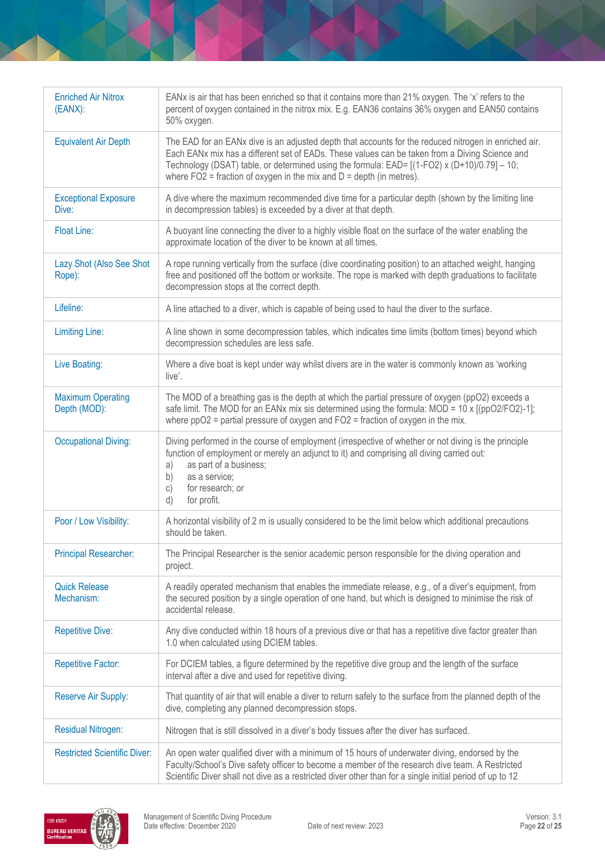| <b>Enriched Air Nitrox</b><br>$(EANX)$ : | EANx is air that has been enriched so that it contains more than 21% oxygen. The 'x' refers to the<br>percent of oxygen contained in the nitrox mix. E.g. EAN36 contains 36% oxygen and EAN50 contains<br>50% oxygen.                                                                                                                                                               |
|------------------------------------------|-------------------------------------------------------------------------------------------------------------------------------------------------------------------------------------------------------------------------------------------------------------------------------------------------------------------------------------------------------------------------------------|
| <b>Equivalent Air Depth</b>              | The EAD for an EANx dive is an adjusted depth that accounts for the reduced nitrogen in enriched air.<br>Each EANx mix has a different set of EADs. These values can be taken from a Diving Science and<br>Technology (DSAT) table, or determined using the formula: EAD= [(1-FO2) x (D+10)/0.79] - 10;<br>where $FO2$ = fraction of oxygen in the mix and $D =$ depth (in metres). |
| <b>Exceptional Exposure</b><br>Dive:     | A dive where the maximum recommended dive time for a particular depth (shown by the limiting line<br>in decompression tables) is exceeded by a diver at that depth.                                                                                                                                                                                                                 |
| <b>Float Line:</b>                       | A buoyant line connecting the diver to a highly visible float on the surface of the water enabling the<br>approximate location of the diver to be known at all times.                                                                                                                                                                                                               |
| Lazy Shot (Also See Shot<br>Rope):       | A rope running vertically from the surface (dive coordinating position) to an attached weight, hanging<br>free and positioned off the bottom or worksite. The rope is marked with depth graduations to facilitate<br>decompression stops at the correct depth.                                                                                                                      |
| Lifeline:                                | A line attached to a diver, which is capable of being used to haul the diver to the surface.                                                                                                                                                                                                                                                                                        |
| <b>Limiting Line:</b>                    | A line shown in some decompression tables, which indicates time limits (bottom times) beyond which<br>decompression schedules are less safe.                                                                                                                                                                                                                                        |
| Live Boating:                            | Where a dive boat is kept under way whilst divers are in the water is commonly known as 'working<br>live'.                                                                                                                                                                                                                                                                          |
| <b>Maximum Operating</b><br>Depth (MOD): | The MOD of a breathing gas is the depth at which the partial pressure of oxygen (ppO2) exceeds a<br>safe limit. The MOD for an EANx mix sis determined using the formula: $MOD = 10 \times [(ppO2/FO2)-1]$ ;<br>where $ppO2$ = partial pressure of oxygen and $FO2$ = fraction of oxygen in the mix.                                                                                |
| <b>Occupational Diving:</b>              | Diving performed in the course of employment (irrespective of whether or not diving is the principle<br>function of employment or merely an adjunct to it) and comprising all diving carried out:<br>as part of a business;<br>a)<br>as a service;<br>b)<br>C)<br>for research; or<br>d)<br>for profit.                                                                             |
| Poor / Low Visibility:                   | A horizontal visibility of 2 m is usually considered to be the limit below which additional precautions<br>should be taken.                                                                                                                                                                                                                                                         |
| <b>Principal Researcher:</b>             | The Principal Researcher is the senior academic person responsible for the diving operation and<br>project.                                                                                                                                                                                                                                                                         |
| <b>Quick Release</b><br>Mechanism:       | A readily operated mechanism that enables the immediate release, e.g., of a diver's equipment, from<br>the secured position by a single operation of one hand, but which is designed to minimise the risk of<br>accidental release.                                                                                                                                                 |
| <b>Repetitive Dive:</b>                  | Any dive conducted within 18 hours of a previous dive or that has a repetitive dive factor greater than<br>1.0 when calculated using DCIEM tables.                                                                                                                                                                                                                                  |
| <b>Repetitive Factor:</b>                | For DCIEM tables, a figure determined by the repetitive dive group and the length of the surface<br>interval after a dive and used for repetitive diving.                                                                                                                                                                                                                           |
| Reserve Air Supply:                      | That quantity of air that will enable a diver to return safely to the surface from the planned depth of the<br>dive, completing any planned decompression stops.                                                                                                                                                                                                                    |
| <b>Residual Nitrogen:</b>                | Nitrogen that is still dissolved in a diver's body tissues after the diver has surfaced.                                                                                                                                                                                                                                                                                            |
| <b>Restricted Scientific Diver:</b>      | An open water qualified diver with a minimum of 15 hours of underwater diving, endorsed by the<br>Faculty/School's Dive safety officer to become a member of the research dive team. A Restricted<br>Scientific Diver shall not dive as a restricted diver other than for a single initial period of up to 12                                                                       |

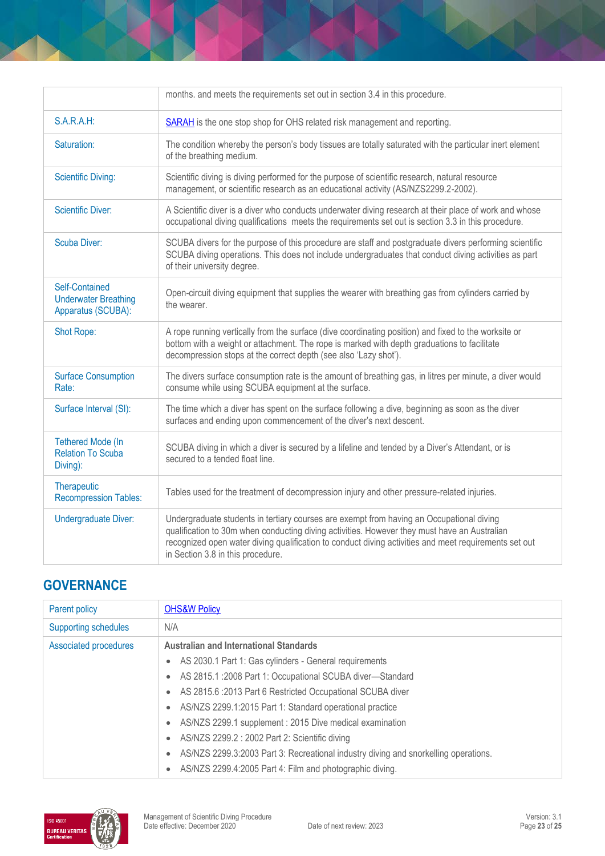|                                                                     | months. and meets the requirements set out in section 3.4 in this procedure.                                                                                                                                                                                                                                                           |
|---------------------------------------------------------------------|----------------------------------------------------------------------------------------------------------------------------------------------------------------------------------------------------------------------------------------------------------------------------------------------------------------------------------------|
| S.A.R.A.H:                                                          | <b>SARAH</b> is the one stop shop for OHS related risk management and reporting.                                                                                                                                                                                                                                                       |
| Saturation:                                                         | The condition whereby the person's body tissues are totally saturated with the particular inert element<br>of the breathing medium.                                                                                                                                                                                                    |
| <b>Scientific Diving:</b>                                           | Scientific diving is diving performed for the purpose of scientific research, natural resource<br>management, or scientific research as an educational activity (AS/NZS2299.2-2002).                                                                                                                                                   |
| <b>Scientific Diver:</b>                                            | A Scientific diver is a diver who conducts underwater diving research at their place of work and whose<br>occupational diving qualifications meets the requirements set out is section 3.3 in this procedure.                                                                                                                          |
| <b>Scuba Diver:</b>                                                 | SCUBA divers for the purpose of this procedure are staff and postgraduate divers performing scientific<br>SCUBA diving operations. This does not include undergraduates that conduct diving activities as part<br>of their university degree.                                                                                          |
| Self-Contained<br><b>Underwater Breathing</b><br>Apparatus (SCUBA): | Open-circuit diving equipment that supplies the wearer with breathing gas from cylinders carried by<br>the wearer.                                                                                                                                                                                                                     |
| Shot Rope:                                                          | A rope running vertically from the surface (dive coordinating position) and fixed to the worksite or<br>bottom with a weight or attachment. The rope is marked with depth graduations to facilitate<br>decompression stops at the correct depth (see also 'Lazy shot').                                                                |
| <b>Surface Consumption</b><br>Rate:                                 | The divers surface consumption rate is the amount of breathing gas, in litres per minute, a diver would<br>consume while using SCUBA equipment at the surface.                                                                                                                                                                         |
| Surface Interval (SI):                                              | The time which a diver has spent on the surface following a dive, beginning as soon as the diver<br>surfaces and ending upon commencement of the diver's next descent.                                                                                                                                                                 |
| <b>Tethered Mode (In</b><br><b>Relation To Scuba</b><br>Diving):    | SCUBA diving in which a diver is secured by a lifeline and tended by a Diver's Attendant, or is<br>secured to a tended float line.                                                                                                                                                                                                     |
| Therapeutic<br><b>Recompression Tables:</b>                         | Tables used for the treatment of decompression injury and other pressure-related injuries.                                                                                                                                                                                                                                             |
| <b>Undergraduate Diver:</b>                                         | Undergraduate students in tertiary courses are exempt from having an Occupational diving<br>qualification to 30m when conducting diving activities. However they must have an Australian<br>recognized open water diving qualification to conduct diving activities and meet requirements set out<br>in Section 3.8 in this procedure. |

# **GOVERNANCE**

| <b>Parent policy</b>        | <b>OHS&amp;W Policy</b>                                                             |  |
|-----------------------------|-------------------------------------------------------------------------------------|--|
| <b>Supporting schedules</b> | N/A                                                                                 |  |
| Associated procedures       | <b>Australian and International Standards</b>                                       |  |
|                             | AS 2030.1 Part 1: Gas cylinders - General requirements                              |  |
|                             | AS 2815.1 :2008 Part 1: Occupational SCUBA diver-Standard<br>$\bullet$              |  |
|                             | AS 2815.6 : 2013 Part 6 Restricted Occupational SCUBA diver<br>$\bullet$            |  |
|                             | AS/NZS 2299.1:2015 Part 1: Standard operational practice<br>$\bullet$               |  |
|                             | AS/NZS 2299.1 supplement: 2015 Dive medical examination                             |  |
|                             | AS/NZS 2299.2 : 2002 Part 2: Scientific diving                                      |  |
|                             | AS/NZS 2299.3:2003 Part 3: Recreational industry diving and snorkelling operations. |  |
|                             | AS/NZS 2299.4:2005 Part 4: Film and photographic diving.                            |  |

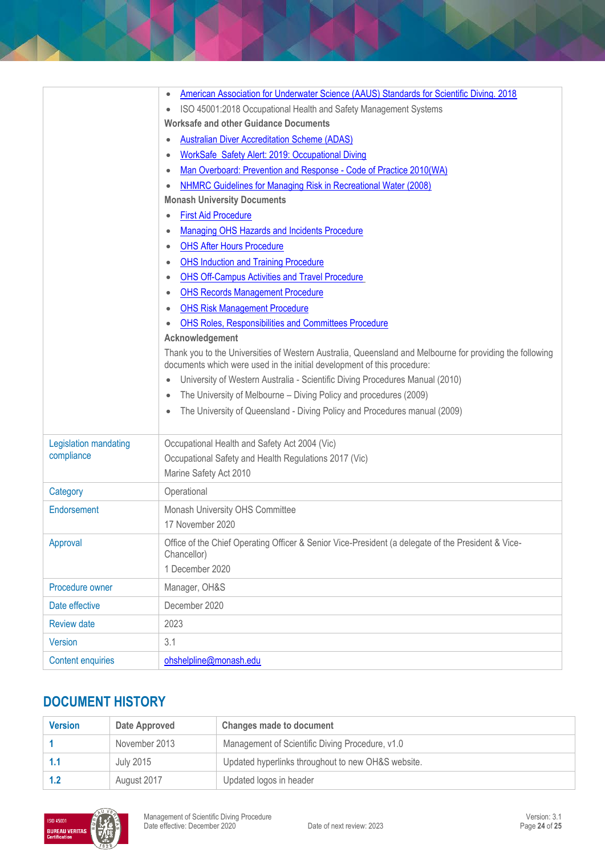|                          | American Association for Underwater Science (AAUS) Standards for Scientific Diving. 2018<br>$\bullet$<br>ISO 45001:2018 Occupational Health and Safety Management Systems<br>$\bullet$ |
|--------------------------|----------------------------------------------------------------------------------------------------------------------------------------------------------------------------------------|
|                          | <b>Worksafe and other Guidance Documents</b>                                                                                                                                           |
|                          | <b>Australian Diver Accreditation Scheme (ADAS)</b>                                                                                                                                    |
|                          | WorkSafe Safety Alert: 2019: Occupational Diving                                                                                                                                       |
|                          | Man Overboard: Prevention and Response - Code of Practice 2010(WA)<br>$\bullet$                                                                                                        |
|                          | NHMRC Guidelines for Managing Risk in Recreational Water (2008)                                                                                                                        |
|                          | <b>Monash University Documents</b>                                                                                                                                                     |
|                          | <b>First Aid Procedure</b>                                                                                                                                                             |
|                          | Managing OHS Hazards and Incidents Procedure<br>$\bullet$                                                                                                                              |
|                          | <b>OHS After Hours Procedure</b>                                                                                                                                                       |
|                          | <b>OHS Induction and Training Procedure</b>                                                                                                                                            |
|                          | <b>OHS Off-Campus Activities and Travel Procedure</b>                                                                                                                                  |
|                          | <b>OHS Records Management Procedure</b>                                                                                                                                                |
|                          | <b>OHS Risk Management Procedure</b>                                                                                                                                                   |
|                          | OHS Roles, Responsibilities and Committees Procedure                                                                                                                                   |
|                          | Acknowledgement                                                                                                                                                                        |
|                          | Thank you to the Universities of Western Australia, Queensland and Melbourne for providing the following<br>documents which were used in the initial development of this procedure:    |
|                          | University of Western Australia - Scientific Diving Procedures Manual (2010)                                                                                                           |
|                          | The University of Melbourne – Diving Policy and procedures (2009)<br>$\bullet$                                                                                                         |
|                          | The University of Queensland - Diving Policy and Procedures manual (2009)                                                                                                              |
| Legislation mandating    | Occupational Health and Safety Act 2004 (Vic)                                                                                                                                          |
| compliance               | Occupational Safety and Health Regulations 2017 (Vic)                                                                                                                                  |
|                          | Marine Safety Act 2010                                                                                                                                                                 |
| Category                 | Operational                                                                                                                                                                            |
| Endorsement              | Monash University OHS Committee                                                                                                                                                        |
|                          | 17 November 2020                                                                                                                                                                       |
| Approval                 | Office of the Chief Operating Officer & Senior Vice-President (a delegate of the President & Vice-<br>Chancellor)<br>1 December 2020                                                   |
| Procedure owner          | Manager, OH&S                                                                                                                                                                          |
| Date effective           | December 2020                                                                                                                                                                          |
|                          |                                                                                                                                                                                        |
| <b>Review date</b>       | 2023                                                                                                                                                                                   |
| <b>Version</b>           | 3.1                                                                                                                                                                                    |
| <b>Content enquiries</b> | ohshelpline@monash.edu                                                                                                                                                                 |

# **DOCUMENT HISTORY**

| <b>Version</b> | Date Approved | <b>Changes made to document</b>                    |
|----------------|---------------|----------------------------------------------------|
|                | November 2013 | Management of Scientific Diving Procedure, v1.0    |
|                | July 2015     | Updated hyperlinks throughout to new OH&S website. |
|                | August 2017   | Updated logos in header                            |